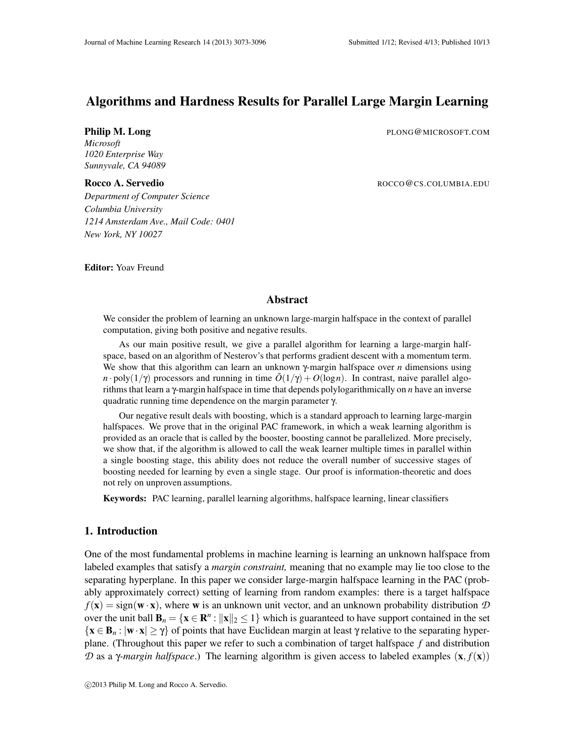# Algorithms and Hardness Results for Parallel Large Margin Learning

**Philip M. Long** PLONG@MICROSOFT.COM

*Microsoft 1020 Enterprise Way Sunnyvale, CA 94089*

Rocco A. Servedio **Rocco A. Servedio Rocco A. Servedio Rocco A. Servedio** 

*Department of Computer Science Columbia University 1214 Amsterdam Ave., Mail Code: 0401 New York, NY 10027*

Editor: Yoav Freund

## Abstract

We consider the problem of learning an unknown large-margin halfspace in the context of parallel computation, giving both positive and negative results.

As our main positive result, we give a parallel algorithm for learning a large-margin halfspace, based on an algorithm of Nesterov's that performs gradient descent with a momentum term. We show that this algorithm can learn an unknown γ-margin halfspace over *n* dimensions using *n* · poly( $1/\gamma$ ) processors and running in time  $\tilde{O}(1/\gamma) + O(\log n)$ . In contrast, naive parallel algorithms that learn a γ-margin halfspace in time that depends polylogarithmically on *n* have an inverse quadratic running time dependence on the margin parameter γ.

Our negative result deals with boosting, which is a standard approach to learning large-margin halfspaces. We prove that in the original PAC framework, in which a weak learning algorithm is provided as an oracle that is called by the booster, boosting cannot be parallelized. More precisely, we show that, if the algorithm is allowed to call the weak learner multiple times in parallel within a single boosting stage, this ability does not reduce the overall number of successive stages of boosting needed for learning by even a single stage. Our proof is information-theoretic and does not rely on unproven assumptions.

Keywords: PAC learning, parallel learning algorithms, halfspace learning, linear classifiers

## 1. Introduction

One of the most fundamental problems in machine learning is learning an unknown halfspace from labeled examples that satisfy a *margin constraint,* meaning that no example may lie too close to the separating hyperplane. In this paper we consider large-margin halfspace learning in the PAC (probably approximately correct) setting of learning from random examples: there is a target halfspace  $f(\mathbf{x}) = \text{sign}(\mathbf{w} \cdot \mathbf{x})$ , where **w** is an unknown unit vector, and an unknown probability distribution  $D$ over the unit ball  $\mathbf{B}_n = \{ \mathbf{x} \in \mathbb{R}^n : ||\mathbf{x}||_2 \leq 1 \}$  which is guaranteed to have support contained in the set  ${x \in B_n : |w \cdot x| \geq \gamma}$  of points that have Euclidean margin at least  $\gamma$  relative to the separating hyperplane. (Throughout this paper we refer to such a combination of target halfspace *f* and distribution *D* as a *γ-margin halfspace*.) The learning algorithm is given access to labeled examples (**x**,  $f(\mathbf{x})$ )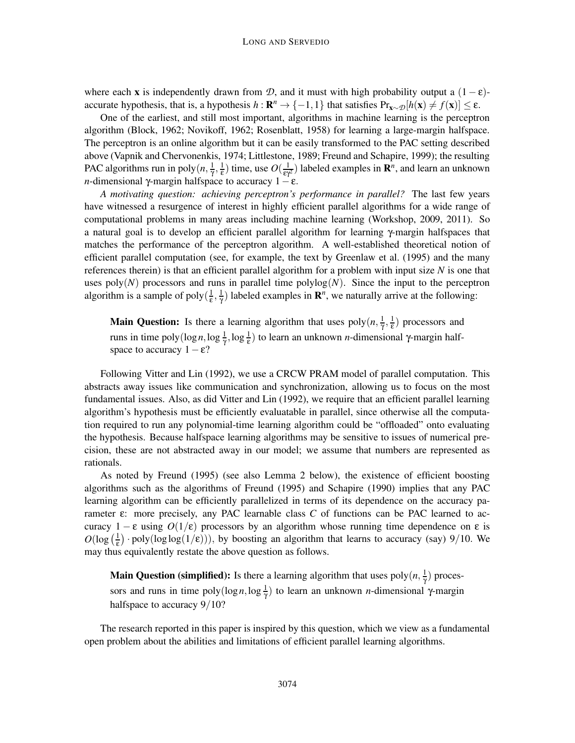where each x is independently drawn from *D*, and it must with high probability output a  $(1 - \varepsilon)$ accurate hypothesis, that is, a hypothesis  $h: \mathbb{R}^n \to \{-1,1\}$  that satisfies  $Pr_{\mathbf{x} \sim \mathcal{D}}[h(\mathbf{x}) \neq f(\mathbf{x})] \leq \varepsilon$ .

One of the earliest, and still most important, algorithms in machine learning is the perceptron algorithm (Block, 1962; Novikoff, 1962; Rosenblatt, 1958) for learning a large-margin halfspace. The perceptron is an online algorithm but it can be easily transformed to the PAC setting described above (Vapnik and Chervonenkis, 1974; Littlestone, 1989; Freund and Schapire, 1999); the resulting PAC algorithms run in poly $(n, \frac{1}{\gamma}, \frac{1}{\epsilon})$  time, use  $O(\frac{1}{\epsilon \gamma^2})$  labeled examples in  $\mathbb{R}^n$ , and learn an unknown *n*-dimensional γ-margin halfspace to accuracy  $1 - \varepsilon$ .

*A motivating question: achieving perceptron's performance in parallel?* The last few years have witnessed a resurgence of interest in highly efficient parallel algorithms for a wide range of computational problems in many areas including machine learning (Workshop, 2009, 2011). So a natural goal is to develop an efficient parallel algorithm for learning γ-margin halfspaces that matches the performance of the perceptron algorithm. A well-established theoretical notion of efficient parallel computation (see, for example, the text by Greenlaw et al. (1995) and the many references therein) is that an efficient parallel algorithm for a problem with input size *N* is one that uses poly $(N)$  processors and runs in parallel time polylog $(N)$ . Since the input to the perceptron algorithm is a sample of poly $(\frac{1}{\epsilon}, \frac{1}{\gamma})$  labeled examples in  $\mathbb{R}^n$ , we naturally arrive at the following:

**Main Question:** Is there a learning algorithm that uses  $poly(n, \frac{1}{\gamma}, \frac{1}{\epsilon})$  processors and runs in time poly(log *n*, log  $\frac{1}{\gamma}$ , log  $\frac{1}{\epsilon}$ ) to learn an unknown *n*-dimensional γ-margin halfspace to accuracy  $1 - \varepsilon$ ?

Following Vitter and Lin (1992), we use a CRCW PRAM model of parallel computation. This abstracts away issues like communication and synchronization, allowing us to focus on the most fundamental issues. Also, as did Vitter and Lin (1992), we require that an efficient parallel learning algorithm's hypothesis must be efficiently evaluatable in parallel, since otherwise all the computation required to run any polynomial-time learning algorithm could be "offloaded" onto evaluating the hypothesis. Because halfspace learning algorithms may be sensitive to issues of numerical precision, these are not abstracted away in our model; we assume that numbers are represented as rationals.

As noted by Freund (1995) (see also Lemma 2 below), the existence of efficient boosting algorithms such as the algorithms of Freund (1995) and Schapire (1990) implies that any PAC learning algorithm can be efficiently parallelized in terms of its dependence on the accuracy parameter ε: more precisely, any PAC learnable class *C* of functions can be PAC learned to accuracy  $1 - \varepsilon$  using  $O(1/\varepsilon)$  processors by an algorithm whose running time dependence on  $\varepsilon$  is  $O(\log(\frac{1}{\epsilon}) \cdot \text{poly}(\log \log(1/\epsilon)))$ , by boosting an algorithm that learns to accuracy (say) 9/10. We may thus equivalently restate the above question as follows.

**Main Question (simplified):** Is there a learning algorithm that uses  $poly(n, \frac{1}{n})$  $\frac{1}{\gamma}$ ) processors and runs in time  $poly(log n, log \frac{1}{\gamma})$  to learn an unknown *n*-dimensional γ-margin halfspace to accuracy  $9/10$ ?

The research reported in this paper is inspired by this question, which we view as a fundamental open problem about the abilities and limitations of efficient parallel learning algorithms.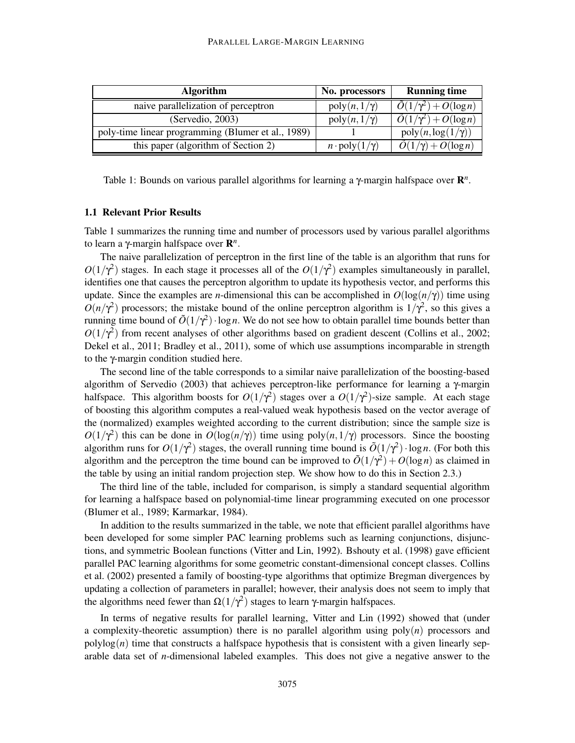| <b>Algorithm</b>                                   | No. processors                  | <b>Running time</b>                        |
|----------------------------------------------------|---------------------------------|--------------------------------------------|
| naive parallelization of perceptron                | $poly(n, 1/\gamma)$             | $\tilde{O}(1/\gamma^2) + O(\log n)$        |
| (Servedio, 2003)                                   | $poly(n, 1/\gamma)$             | $\tilde{O}(1/\gamma^2) + O(\log n)$        |
| poly-time linear programming (Blumer et al., 1989) |                                 | $poly(n, \log(1/\gamma))$                  |
| this paper (algorithm of Section 2)                | $n \cdot \text{poly}(1/\gamma)$ | $\overline{\tilde{O}(1/\gamma)+O(\log n)}$ |

Table 1: Bounds on various parallel algorithms for learning a γ-margin halfspace over R *n* .

#### 1.1 Relevant Prior Results

Table 1 summarizes the running time and number of processors used by various parallel algorithms to learn a γ-margin halfspace over  $\mathbf{R}^n$ .

The naive parallelization of perceptron in the first line of the table is an algorithm that runs for  $O(1/\gamma^2)$  stages. In each stage it processes all of the  $O(1/\gamma^2)$  examples simultaneously in parallel, identifies one that causes the perceptron algorithm to update its hypothesis vector, and performs this update. Since the examples are *n*-dimensional this can be accomplished in  $O(\log(n/\gamma))$  time using  $O(n/\gamma^2)$  processors; the mistake bound of the online perceptron algorithm is  $1/\gamma^2$ , so this gives a running time bound of  $\tilde{O}(1/\gamma^2) \cdot \log n$ . We do not see how to obtain parallel time bounds better than  $O(1/\gamma^2)$  from recent analyses of other algorithms based on gradient descent (Collins et al., 2002; Dekel et al., 2011; Bradley et al., 2011), some of which use assumptions incomparable in strength to the γ-margin condition studied here.

The second line of the table corresponds to a similar naive parallelization of the boosting-based algorithm of Servedio (2003) that achieves perceptron-like performance for learning a γ-margin halfspace. This algorithm boosts for  $O(1/\gamma^2)$  stages over a  $O(1/\gamma^2)$ -size sample. At each stage of boosting this algorithm computes a real-valued weak hypothesis based on the vector average of the (normalized) examples weighted according to the current distribution; since the sample size is  $O(1/\gamma^2)$  this can be done in  $O(\log(n/\gamma))$  time using poly $(n,1/\gamma)$  processors. Since the boosting algorithm runs for  $O(1/\gamma^2)$  stages, the overall running time bound is  $\tilde{O}(1/\gamma^2) \cdot \log n$ . (For both this algorithm and the perceptron the time bound can be improved to  $\tilde{O}(1/\gamma^2) + O(\log n)$  as claimed in the table by using an initial random projection step. We show how to do this in Section 2.3.)

The third line of the table, included for comparison, is simply a standard sequential algorithm for learning a halfspace based on polynomial-time linear programming executed on one processor (Blumer et al., 1989; Karmarkar, 1984).

In addition to the results summarized in the table, we note that efficient parallel algorithms have been developed for some simpler PAC learning problems such as learning conjunctions, disjunctions, and symmetric Boolean functions (Vitter and Lin, 1992). Bshouty et al. (1998) gave efficient parallel PAC learning algorithms for some geometric constant-dimensional concept classes. Collins et al. (2002) presented a family of boosting-type algorithms that optimize Bregman divergences by updating a collection of parameters in parallel; however, their analysis does not seem to imply that the algorithms need fewer than  $\Omega(1/\gamma^2)$  stages to learn γ-margin halfspaces.

In terms of negative results for parallel learning, Vitter and Lin (1992) showed that (under a complexity-theoretic assumption) there is no parallel algorithm using poly(*n*) processors and  $polylog(n)$  time that constructs a halfspace hypothesis that is consistent with a given linearly separable data set of *n*-dimensional labeled examples. This does not give a negative answer to the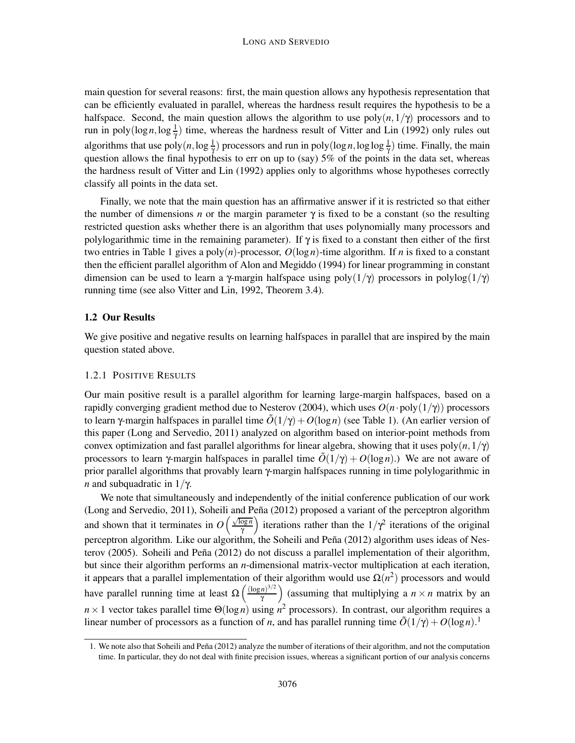main question for several reasons: first, the main question allows any hypothesis representation that can be efficiently evaluated in parallel, whereas the hardness result requires the hypothesis to be a halfspace. Second, the main question allows the algorithm to use  $poly(n,1/\gamma)$  processors and to run in poly( $\log n, \log \frac{1}{\gamma}$ ) time, whereas the hardness result of Vitter and Lin (1992) only rules out algorithms that use  $poly(n, \log \frac{1}{\gamma})$  processors and run in  $poly(\log n, \log \log \frac{1}{\gamma})$  time. Finally, the main question allows the final hypothesis to err on up to (say) 5% of the points in the data set, whereas the hardness result of Vitter and Lin (1992) applies only to algorithms whose hypotheses correctly classify all points in the data set.

Finally, we note that the main question has an affirmative answer if it is restricted so that either the number of dimensions *n* or the margin parameter  $\gamma$  is fixed to be a constant (so the resulting restricted question asks whether there is an algorithm that uses polynomially many processors and polylogarithmic time in the remaining parameter). If  $\gamma$  is fixed to a constant then either of the first two entries in Table 1 gives a poly(*n*)-processor, *O*(log *n*)-time algorithm. If *n* is fixed to a constant then the efficient parallel algorithm of Alon and Megiddo (1994) for linear programming in constant dimension can be used to learn a γ-margin halfspace using poly $(1/\gamma)$  processors in polylog $(1/\gamma)$ running time (see also Vitter and Lin, 1992, Theorem 3.4).

## 1.2 Our Results

We give positive and negative results on learning halfspaces in parallel that are inspired by the main question stated above.

#### 1.2.1 POSITIVE RESULTS

Our main positive result is a parallel algorithm for learning large-margin halfspaces, based on a rapidly converging gradient method due to Nesterov (2004), which uses  $O(n \cdot \text{poly}(1/\gamma))$  processors to learn  $\gamma$ -margin halfspaces in parallel time  $\tilde{O}(1/\gamma) + O(\log n)$  (see Table 1). (An earlier version of this paper (Long and Servedio, 2011) analyzed on algorithm based on interior-point methods from convex optimization and fast parallel algorithms for linear algebra, showing that it uses poly $(n,1/\gamma)$ processors to learn γ-margin halfspaces in parallel time  $\tilde{O}(1/\gamma) + O(\log n)$ .) We are not aware of prior parallel algorithms that provably learn γ-margin halfspaces running in time polylogarithmic in *n* and subquadratic in  $1/\gamma$ .

We note that simultaneously and independently of the initial conference publication of our work (Long and Servedio, 2011), Soheili and Peña (2012) proposed a variant of the perceptron algorithm and shown that it terminates in  $O\left(\frac{\sqrt{\log n}}{n}\right)$  $\frac{\overline{\log n}}{\gamma}$  iterations rather than the  $1/\gamma^2$  iterations of the original perceptron algorithm. Like our algorithm, the Soheili and Peña (2012) algorithm uses ideas of Nesterov (2005). Soheili and Peña (2012) do not discuss a parallel implementation of their algorithm, but since their algorithm performs an *n*-dimensional matrix-vector multiplication at each iteration, it appears that a parallel implementation of their algorithm would use  $\Omega(n^2)$  processors and would have parallel running time at least  $\Omega\left(\frac{(\log n)^{3/2}}{\gamma}\right)$  $\left(\frac{n}{\gamma}\right)^{3/2}$  (assuming that multiplying a  $n \times n$  matrix by an  $n \times 1$  vector takes parallel time  $\Theta(\log n)$  using  $n^2$  processors). In contrast, our algorithm requires a linear number of processors as a function of *n*, and has parallel running time  $\tilde{O}(1/\gamma) + O(\log n)^{1/2}$ .

<sup>1.</sup> We note also that Soheili and Peña (2012) analyze the number of iterations of their algorithm, and not the computation time. In particular, they do not deal with finite precision issues, whereas a significant portion of our analysis concerns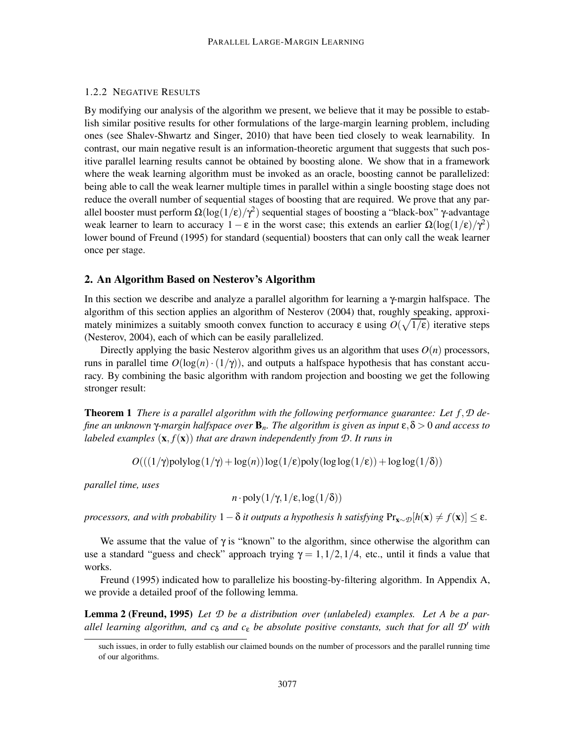## 1.2.2 NEGATIVE RESULTS

By modifying our analysis of the algorithm we present, we believe that it may be possible to establish similar positive results for other formulations of the large-margin learning problem, including ones (see Shalev-Shwartz and Singer, 2010) that have been tied closely to weak learnability. In contrast, our main negative result is an information-theoretic argument that suggests that such positive parallel learning results cannot be obtained by boosting alone. We show that in a framework where the weak learning algorithm must be invoked as an oracle, boosting cannot be parallelized: being able to call the weak learner multiple times in parallel within a single boosting stage does not reduce the overall number of sequential stages of boosting that are required. We prove that any parallel booster must perform  $\Omega(\log(1/\epsilon)/\gamma^2)$  sequential stages of boosting a "black-box" γ-advantage weak learner to learn to accuracy  $1 - \varepsilon$  in the worst case; this extends an earlier  $\Omega(\log(1/\varepsilon)/\gamma^2)$ lower bound of Freund (1995) for standard (sequential) boosters that can only call the weak learner once per stage.

#### 2. An Algorithm Based on Nesterov's Algorithm

In this section we describe and analyze a parallel algorithm for learning a  $\gamma$ -margin halfspace. The algorithm of this section applies an algorithm of Nesterov (2004) that, roughly speaking, approximately minimizes a suitably smooth convex function to accuracy  $\varepsilon$  using  $O(\sqrt{1/\varepsilon})$  iterative steps (Nesterov, 2004), each of which can be easily parallelized.

Directly applying the basic Nesterov algorithm gives us an algorithm that uses  $O(n)$  processors, runs in parallel time  $O(\log(n) \cdot (1/\gamma))$ , and outputs a halfspace hypothesis that has constant accuracy. By combining the basic algorithm with random projection and boosting we get the following stronger result:

Theorem 1 *There is a parallel algorithm with the following performance guarantee: Let f*,*D define an unknown* γ*-margin halfspace over* B*n. The algorithm is given as input* ε,δ > 0 *and access to labeled examples*  $(\mathbf{x}, f(\mathbf{x}))$  *that are drawn independently from D. It runs in* 

 $O(((1/\gamma)$ polylog $(1/\gamma) + \log(n))\log(1/\epsilon)$ poly $(\log \log(1/\epsilon)) + \log \log(1/\delta))$ 

*parallel time, uses*

$$
n \cdot \text{poly}(1/\gamma, 1/\varepsilon, \log(1/\delta))
$$

*processors, and with probability*  $1-\delta$  *it outputs a hypothesis h satisfying*  $Pr_{\mathbf{x} \sim \mathcal{D}}[h(\mathbf{x}) \neq f(\mathbf{x})] \leq \epsilon$ .

We assume that the value of  $\gamma$  is "known" to the algorithm, since otherwise the algorithm can use a standard "guess and check" approach trying  $\gamma = 1, 1/2, 1/4$ , etc., until it finds a value that works.

Freund (1995) indicated how to parallelize his boosting-by-filtering algorithm. In Appendix A, we provide a detailed proof of the following lemma.

Lemma 2 (Freund, 1995) *Let D be a distribution over (unlabeled) examples. Let A be a parallel learning algorithm, and c*<sup>δ</sup> *and c*<sup>ε</sup> *be absolute positive constants, such that for all D*′ *with*

such issues, in order to fully establish our claimed bounds on the number of processors and the parallel running time of our algorithms.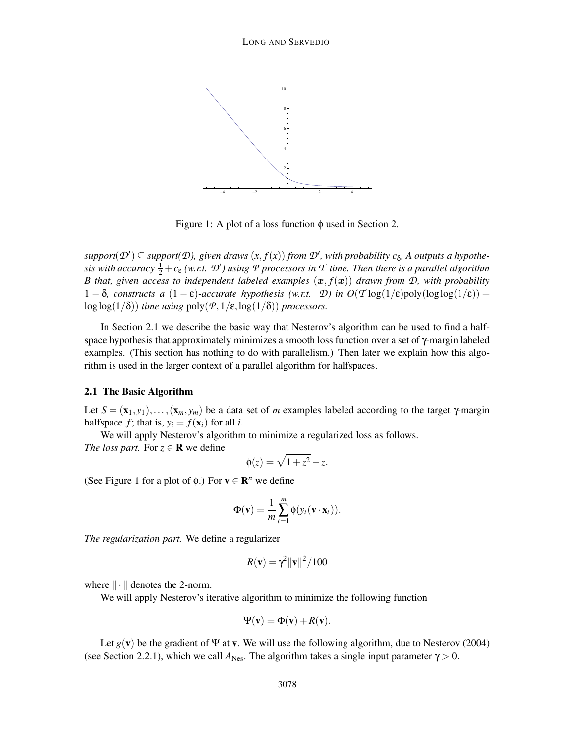

Figure 1: A plot of a loss function  $\phi$  used in Section 2.

 $support(\mathcal{D}') \subseteq support(\mathcal{D})$ , given draws  $(x, f(x))$  from  $\mathcal{D}'$ , with probability  $c_{\delta}$ , A outputs a hypothe $s$ *is with accuracy*  $\frac{1}{2} + c_{\varepsilon}$  *(w.r.t.*  $\mathcal{D}'$ *)* using  $\mathcal P$  processors in  $\mathcal T$  time. Then there is a parallel algorithm *B* that, given access to independent labeled examples  $(x, f(x))$  drawn from  $D$ , with probability 1 − δ*, constructs a*  $(1 – ε)$ -accurate hypothesis (w.r.t. *D*) in  $O(T \log(1/ε))$ poly $(\log \log(1/ε))$  +  $\log \log(1/\delta)$  *time using*  $\text{poly}(\mathcal{P},1/\epsilon,\log(1/\delta))$  *processors.* 

In Section 2.1 we describe the basic way that Nesterov's algorithm can be used to find a halfspace hypothesis that approximately minimizes a smooth loss function over a set of γ-margin labeled examples. (This section has nothing to do with parallelism.) Then later we explain how this algorithm is used in the larger context of a parallel algorithm for halfspaces.

#### 2.1 The Basic Algorithm

Let  $S = (\mathbf{x}_1, y_1), \ldots, (\mathbf{x}_m, y_m)$  be a data set of *m* examples labeled according to the target  $\gamma$ -margin halfspace  $f$ ; that is,  $y_i = f(\mathbf{x}_i)$  for all *i*.

We will apply Nesterov's algorithm to minimize a regularized loss as follows.

*The loss part.* For  $z \in \mathbf{R}$  we define

$$
\phi(z) = \sqrt{1 + z^2} - z.
$$

(See Figure 1 for a plot of  $\phi$ .) For  $\mathbf{v} \in \mathbb{R}^n$  we define

$$
\Phi(\mathbf{v}) = \frac{1}{m} \sum_{t=1}^{m} \phi(y_t(\mathbf{v} \cdot \mathbf{x}_t)).
$$

*The regularization part.* We define a regularizer

$$
R(\mathbf{v}) = \gamma^2 \|\mathbf{v}\|^2 / 100
$$

where  $\|\cdot\|$  denotes the 2-norm.

We will apply Nesterov's iterative algorithm to minimize the following function

$$
\Psi(\mathbf{v}) = \Phi(\mathbf{v}) + R(\mathbf{v}).
$$

Let  $g(\mathbf{v})$  be the gradient of  $\Psi$  at **v**. We will use the following algorithm, due to Nesterov (2004) (see Section 2.2.1), which we call  $A_{\text{Nes}}$ . The algorithm takes a single input parameter  $\gamma > 0$ .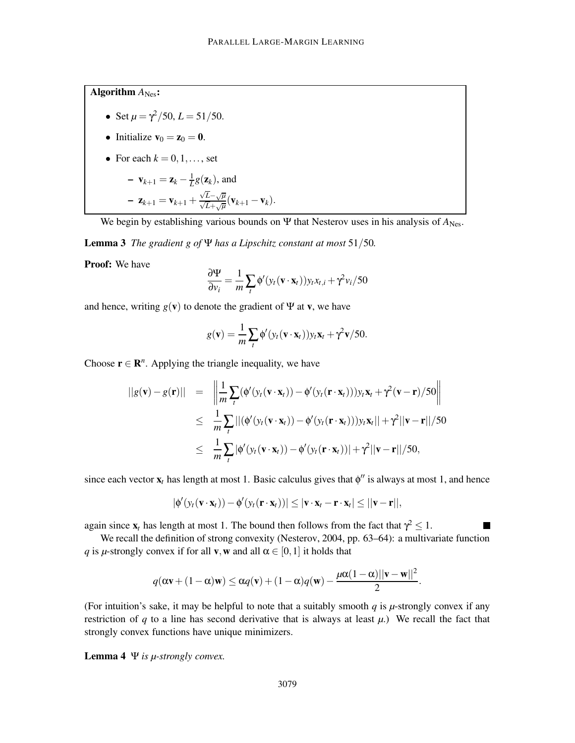Algorithm  $A_{\text{Nes}}$ :

• Set 
$$
\mu = \frac{\gamma^2}{50}
$$
,  $L = \frac{51}{50}$ .

• Initialize 
$$
\mathbf{v}_0 = \mathbf{z}_0 = \mathbf{0}
$$
.

• For each  $k = 0, 1, \ldots$ , set

$$
- \mathbf{v}_{k+1} = \mathbf{z}_k - \frac{1}{L}g(\mathbf{z}_k), \text{ and}
$$

$$
- \mathbf{z}_{k+1} = \mathbf{v}_{k+1} + \frac{\sqrt{L} - \sqrt{\mu}}{\sqrt{L} + \sqrt{\mu}}(\mathbf{v}_{k+1} - \mathbf{v}_k).
$$

We begin by establishing various bounds on  $\Psi$  that Nesterov uses in his analysis of  $A_{\text{Nes}}$ .

Lemma 3 *The gradient g of* Ψ *has a Lipschitz constant at most* 51/50*.*

Proof: We have

$$
\frac{\partial \Psi}{\partial v_i} = \frac{1}{m} \sum_t \phi'(y_t(\mathbf{v} \cdot \mathbf{x}_t)) y_t x_{t,i} + \gamma^2 v_i / 50
$$

and hence, writing  $g(\mathbf{v})$  to denote the gradient of  $\Psi$  at **v**, we have

$$
g(\mathbf{v}) = \frac{1}{m} \sum_{t} \phi'(y_t(\mathbf{v} \cdot \mathbf{x}_t)) y_t \mathbf{x}_t + \gamma^2 \mathbf{v}/50.
$$

Choose  $\mathbf{r} \in \mathbb{R}^n$ . Applying the triangle inequality, we have

$$
||g(\mathbf{v}) - g(\mathbf{r})|| = \left\| \frac{1}{m} \sum_{t} (\phi'(y_t(\mathbf{v} \cdot \mathbf{x}_t)) - \phi'(y_t(\mathbf{r} \cdot \mathbf{x}_t))) y_t \mathbf{x}_t + \gamma^2 (\mathbf{v} - \mathbf{r})/50 \right\|
$$
  
\n
$$
\leq \frac{1}{m} \sum_{t} |(\phi'(y_t(\mathbf{v} \cdot \mathbf{x}_t)) - \phi'(y_t(\mathbf{r} \cdot \mathbf{x}_t))) y_t \mathbf{x}_t|| + \gamma^2 ||\mathbf{v} - \mathbf{r}||/50
$$
  
\n
$$
\leq \frac{1}{m} \sum_{t} |\phi'(y_t(\mathbf{v} \cdot \mathbf{x}_t)) - \phi'(y_t(\mathbf{r} \cdot \mathbf{x}_t))| + \gamma^2 ||\mathbf{v} - \mathbf{r}||/50,
$$

since each vector  $\mathbf{x}_t$  has length at most 1. Basic calculus gives that  $\phi''$  is always at most 1, and hence

$$
|\phi'(y_t(\mathbf{v}\cdot\mathbf{x}_t)) - \phi'(y_t(\mathbf{r}\cdot\mathbf{x}_t))| \leq |\mathbf{v}\cdot\mathbf{x}_t - \mathbf{r}\cdot\mathbf{x}_t| \leq ||\mathbf{v} - \mathbf{r}||,
$$

п

again since  $\mathbf{x}_t$  has length at most 1. The bound then follows from the fact that  $\gamma^2 \leq 1$ .

We recall the definition of strong convexity (Nesterov, 2004, pp. 63–64): a multivariate function *q* is *µ*-strongly convex if for all **v**, **w** and all  $\alpha \in [0,1]$  it holds that

$$
q(\alpha \mathbf{v} + (1 - \alpha)\mathbf{w}) \leq \alpha q(\mathbf{v}) + (1 - \alpha)q(\mathbf{w}) - \frac{\mu\alpha(1 - \alpha)||\mathbf{v} - \mathbf{w}||^2}{2}.
$$

(For intuition's sake, it may be helpful to note that a suitably smooth  $q$  is  $\mu$ -strongly convex if any restriction of  $q$  to a line has second derivative that is always at least  $\mu$ .) We recall the fact that strongly convex functions have unique minimizers.

Lemma 4 Ψ *is µ-strongly convex.*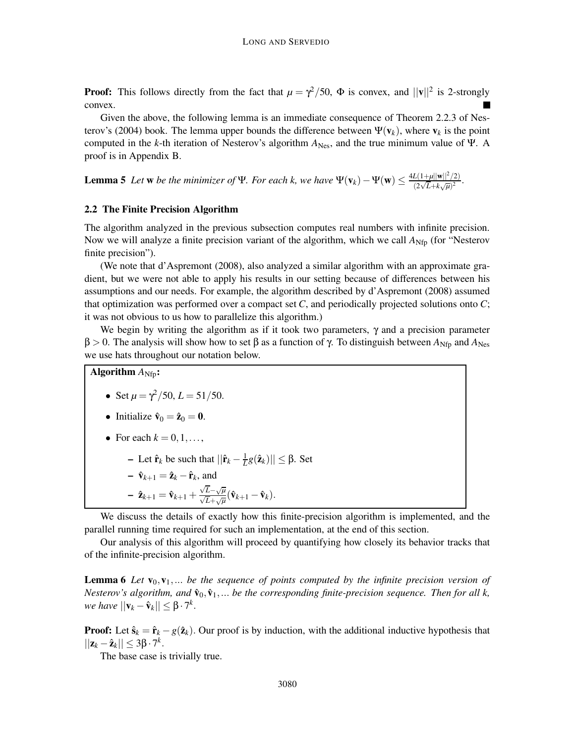**Proof:** This follows directly from the fact that  $\mu = \gamma^2/50$ ,  $\Phi$  is convex, and  $||\mathbf{v}||^2$  is 2-strongly convex.

Given the above, the following lemma is an immediate consequence of Theorem 2.2.3 of Nesterov's (2004) book. The lemma upper bounds the difference between  $\Psi(\mathbf{v}_k)$ , where  $\mathbf{v}_k$  is the point computed in the *k*-th iteration of Nesterov's algorithm  $A_{N_{\text{e}s}}$ , and the true minimum value of Ψ. A proof is in Appendix B.

**Lemma 5** Let **w** be the minimizer of Ψ. For each k, we have  $\Psi(\mathbf{v}_k) - \Psi(\mathbf{w}) \le \frac{4L(1+\mu||\mathbf{w}||^2/2)}{(2\sqrt{L} + k\sqrt{\mu})^2}$  $\frac{L(1+\mu||\mathbf{w}||/2)}{(2\sqrt{L}+k\sqrt{\mu})^2}$ .

## 2.2 The Finite Precision Algorithm

The algorithm analyzed in the previous subsection computes real numbers with infinite precision. Now we will analyze a finite precision variant of the algorithm, which we call  $A_{\text{Nfp}}$  (for "Nesterov finite precision").

(We note that d'Aspremont (2008), also analyzed a similar algorithm with an approximate gradient, but we were not able to apply his results in our setting because of differences between his assumptions and our needs. For example, the algorithm described by d'Aspremont (2008) assumed that optimization was performed over a compact set *C*, and periodically projected solutions onto *C*; it was not obvious to us how to parallelize this algorithm.)

We begin by writing the algorithm as if it took two parameters,  $\gamma$  and a precision parameter  $β > 0$ . The analysis will show how to set  $β$  as a function of  $γ$ . To distinguish between  $A_{Nfp}$  and  $A_{Nes}$ we use hats throughout our notation below.

Algorithm  $A_{\text{Nfp}}$ :

• Set  $\mu = \frac{\gamma^2}{50}$ ,  $L = \frac{51}{50}$ .

• Initialize 
$$
\hat{\mathbf{v}}_0 = \hat{\mathbf{z}}_0 = \mathbf{0}
$$
.

- For each  $k = 0, 1, \ldots$ ,
	- $-$  Let  $\hat{\mathbf{r}}_k$  be such that  $||\hat{\mathbf{r}}_k \frac{1}{L}g(\hat{\mathbf{z}}_k)|| \leq \beta$ . Set
	- $\hat{\mathbf{v}}_{k+1} = \hat{\mathbf{z}}_k \hat{\mathbf{r}}_k$ , and
	- $\hat{\mathbf{z}}_{k+1} = \hat{\mathbf{v}}_{k+1} + \frac{\sqrt{L} \sqrt{\mu}}{\sqrt{L} + \sqrt{\mu}} (\hat{\mathbf{v}}_{k+1} \hat{\mathbf{v}}_k).$

We discuss the details of exactly how this finite-precision algorithm is implemented, and the parallel running time required for such an implementation, at the end of this section.

Our analysis of this algorithm will proceed by quantifying how closely its behavior tracks that of the infinite-precision algorithm.

**Lemma 6** Let  $\mathbf{v}_0, \mathbf{v}_1, \ldots$  be the sequence of points computed by the infinite precision version of *Nesterov's algorithm, and*  $\hat{\mathbf{v}}_0, \hat{\mathbf{v}}_1, \dots$  *be the corresponding finite-precision sequence. Then for all k,*  $\forall w \in \mathit{have} \, ||\mathbf{v}_k - \hat{\mathbf{v}}_k|| \leq \beta \cdot 7^k.$ 

**Proof:** Let  $\hat{\mathbf{s}}_k = \hat{\mathbf{r}}_k - g(\hat{\mathbf{z}}_k)$ . Our proof is by induction, with the additional inductive hypothesis that  $||\mathbf{z}_k - \hat{\mathbf{z}}_k|| \leq 3\beta \cdot 7^k$ .

The base case is trivially true.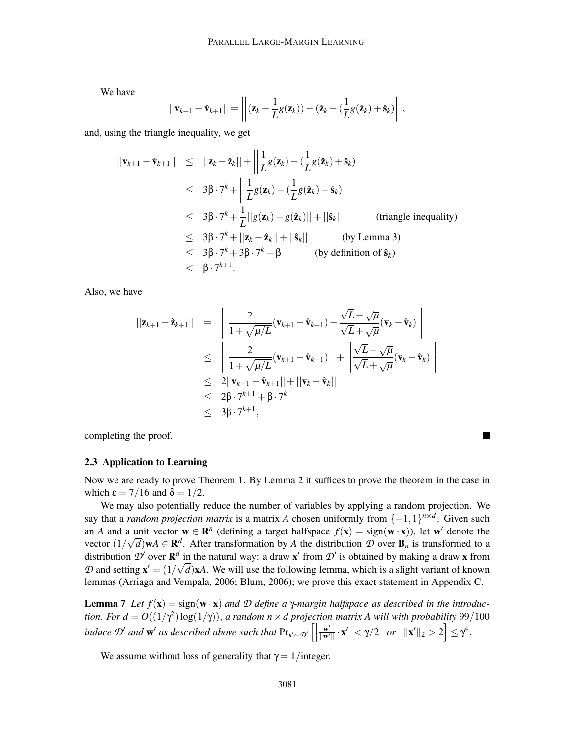We have

$$
||\mathbf{v}_{k+1}-\hat{\mathbf{v}}_{k+1}|| = \left|\left|(\mathbf{z}_k-\frac{1}{L}g(\mathbf{z}_k))-(\hat{\mathbf{z}}_k-(\frac{1}{L}g(\hat{\mathbf{z}}_k)+\hat{\mathbf{s}}_k)\right|\right|,
$$

and, using the triangle inequality, we get

$$
||\mathbf{v}_{k+1} - \hat{\mathbf{v}}_{k+1}|| \le ||\mathbf{z}_k - \hat{\mathbf{z}}_k|| + \left\| \frac{1}{L} g(\mathbf{z}_k) - (\frac{1}{L} g(\hat{\mathbf{z}}_k) + \hat{\mathbf{s}}_k) \right\|
$$
  
\n
$$
\le 3\beta \cdot 7^k + \left\| \frac{1}{L} g(\mathbf{z}_k) - (\frac{1}{L} g(\hat{\mathbf{z}}_k) + \hat{\mathbf{s}}_k) \right\|
$$
  
\n
$$
\le 3\beta \cdot 7^k + \frac{1}{L} ||g(\mathbf{z}_k) - g(\hat{\mathbf{z}}_k)|| + ||\hat{\mathbf{s}}_k|| \qquad \text{(triangle inequality)}
$$
  
\n
$$
\le 3\beta \cdot 7^k + ||\mathbf{z}_k - \hat{\mathbf{z}}_k|| + ||\hat{\mathbf{s}}_k|| \qquad \text{(by Lemma 3)}
$$
  
\n
$$
\le 3\beta \cdot 7^k + 3\beta \cdot 7^k + \beta \qquad \text{(by definition of } \hat{\mathbf{s}}_k)
$$
  
\n
$$
< \beta \cdot 7^{k+1}.
$$

Also, we have

$$
\begin{array}{rcl}\n||\mathbf{z}_{k+1} - \hat{\mathbf{z}}_{k+1}|| & = & \left\| \frac{2}{1 + \sqrt{\mu/L}} (\mathbf{v}_{k+1} - \hat{\mathbf{v}}_{k+1}) - \frac{\sqrt{L} - \sqrt{\mu}}{\sqrt{L} + \sqrt{\mu}} (\mathbf{v}_{k} - \hat{\mathbf{v}}_{k}) \right\| \\
& \leq & \left\| \frac{2}{1 + \sqrt{\mu/L}} (\mathbf{v}_{k+1} - \hat{\mathbf{v}}_{k+1}) \right\| + \left\| \frac{\sqrt{L} - \sqrt{\mu}}{\sqrt{L} + \sqrt{\mu}} (\mathbf{v}_{k} - \hat{\mathbf{v}}_{k}) \right\| \\
& \leq & 2||\mathbf{v}_{k+1} - \hat{\mathbf{v}}_{k+1}|| + ||\mathbf{v}_{k} - \hat{\mathbf{v}}_{k}|| \\
& \leq & 2\beta \cdot 7^{k+1} + \beta \cdot 7^{k} \\
& \leq & 3\beta \cdot 7^{k+1},\n\end{array}
$$

completing the proof.

#### 2.3 Application to Learning

Now we are ready to prove Theorem 1. By Lemma 2 it suffices to prove the theorem in the case in which  $\epsilon = 7/16$  and  $\delta = 1/2$ .

П

We may also potentially reduce the number of variables by applying a random projection. We say that a *random projection matrix* is a matrix *A* chosen uniformly from  $\{-1,1\}^{n \times d}$ . Given such an *A* and a unit vector  $\mathbf{w} \in \mathbb{R}^n$  (defining a target halfspace  $f(\mathbf{x}) = \text{sign}(\mathbf{w} \cdot \mathbf{x})$ ), let  $\mathbf{w}'$  denote the vector  $(1/\sqrt{d})\mathbf{w}A \in \mathbf{R}^d$ . After transformation by *A* the distribution *D* over  $\mathbf{B}_n$  is transformed to a distribution  $\mathcal{D}'$  over  $\mathbf{R}^d$  in the natural way: a draw **x'** from  $\mathcal{D}'$  is obtained by making a draw **x** from *D* and setting  $\mathbf{x}' = (1/\sqrt{d})\mathbf{x}A$ . We will use the following lemma, which is a slight variant of known lemmas (Arriaga and Vempala, 2006; Blum, 2006); we prove this exact statement in Appendix C.

**Lemma 7** Let  $f(\mathbf{x}) = \text{sign}(\mathbf{w} \cdot \mathbf{x})$  *and D* define a γ-margin halfspace as described in the introduc*tion. For*  $d = O((1/\gamma^2) \log(1/\gamma))$ *, a random n × d projection matrix A will with probability* 99/100 *induce*  $\mathcal{D}'$  *and*  $\mathbf{w}'$  *as described above such that*  $Pr_{\mathbf{x}' \sim \mathcal{D}'}$   $\left[\right]$  $\frac{\mathbf{w}'}{\|\mathbf{w}'\|}\cdot\mathbf{x}'$  <  $\gamma/2$  *or*  $\|\mathbf{x}'\|_2 > 2$   $\leq \gamma^4$ .

We assume without loss of generality that  $\gamma = 1$ /integer.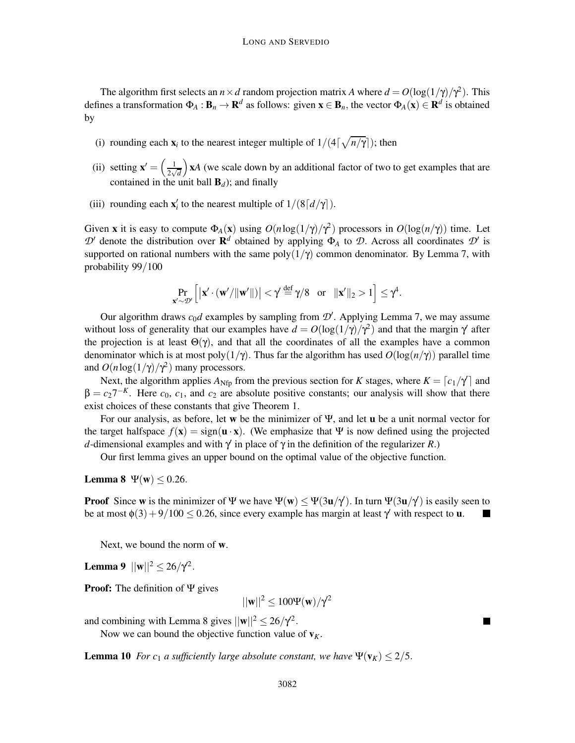The algorithm first selects an  $n \times d$  random projection matrix *A* where  $d = O(\log(1/\gamma)/\gamma^2)$ . This defines a transformation  $\Phi_A : \mathbf{B}_n \to \mathbf{R}^d$  as follows: given  $\mathbf{x} \in \mathbf{B}_n$ , the vector  $\Phi_A(\mathbf{x}) \in \mathbf{R}^d$  is obtained by

- (i) rounding each  $\mathbf{x}_i$  to the nearest integer multiple of  $1/(4\lceil \sqrt{n/\gamma} \rceil)$ ; then
- (ii) setting  $\mathbf{x}' = \left(\frac{1}{2}\right)$  $\frac{1}{2\sqrt{d}}$  x*A* (we scale down by an additional factor of two to get examples that are contained in the unit ball  $\mathbf{B}_d$ ); and finally
- (iii) rounding each  $\mathbf{x}'_i$  to the nearest multiple of  $1/(8\lceil d/\gamma \rceil)$ .

Given **x** it is easy to compute  $\Phi_A(\mathbf{x})$  using  $O(n \log(1/\gamma)/\gamma^2)$  processors in  $O(\log(n/\gamma))$  time. Let  $\mathcal{D}'$  denote the distribution over  $\mathbf{R}^d$  obtained by applying  $\Phi_A$  to  $\mathcal{D}$ . Across all coordinates  $\mathcal{D}'$  is supported on rational numbers with the same  $poly(1/\gamma)$  common denominator. By Lemma 7, with probability 99/100

$$
\Pr_{\mathbf{x}' \sim \mathcal{D}'} \left[ \left| \mathbf{x}' \cdot (\mathbf{w}'/\|\mathbf{w}'\|) \right| < \gamma' \stackrel{\text{def}}{=} \gamma/8 \quad \text{or} \quad \|\mathbf{x}'\|_2 > 1 \right] \leq \gamma^4.
$$

Our algorithm draws  $c_0d$  examples by sampling from  $\mathcal{D}'$ . Applying Lemma 7, we may assume without loss of generality that our examples have  $d = O(\log(1/\gamma)/\gamma^2)$  and that the margin  $\gamma'$  after the projection is at least  $\Theta(\gamma)$ , and that all the coordinates of all the examples have a common denominator which is at most poly( $1/\gamma$ ). Thus far the algorithm has used  $O(\log(n/\gamma))$  parallel time and  $O(n \log(1/\gamma)/\gamma^2)$  many processors.

Next, the algorithm applies  $A_{Nfp}$  from the previous section for *K* stages, where  $K = \lfloor c_1/\gamma \rfloor$  and  $\beta = c_2 7^{-K}$ . Here  $c_0$ ,  $c_1$ , and  $c_2$  are absolute positive constants; our analysis will show that there exist choices of these constants that give Theorem 1.

For our analysis, as before, let w be the minimizer of  $\Psi$ , and let **u** be a unit normal vector for the target halfspace  $f(x) = sign(u \cdot x)$ . (We emphasize that Ψ is now defined using the projected *d*-dimensional examples and with  $\gamma$  in place of  $\gamma$  in the definition of the regularizer *R*.)

Our first lemma gives an upper bound on the optimal value of the objective function.

Lemma 8  $\Psi(\mathbf{w}) \leq 0.26$ .

**Proof** Since **w** is the minimizer of  $\Psi$  we have  $\Psi(w) \le \Psi(3u/\gamma')$ . In turn  $\Psi(3u/\gamma')$  is easily seen to be at most  $\phi(3) + 9/100 \le 0.26$ , since every example has margin at least  $\gamma'$  with respect to **u**.

Next, we bound the norm of w.

**Lemma 9**  $||\mathbf{w}||^2 \le 26/\gamma^2$ .

Proof: The definition of Ψ gives

 $||\mathbf{w}||^2 \le 100 \Psi(\mathbf{w})/\gamma^2$ 

and combining with Lemma 8 gives  $||\mathbf{w}||^2 \leq 26/\gamma^2$ .

Now we can bound the objective function value of  $v_K$ .

**Lemma 10** *For*  $c_1$  *a sufficiently large absolute constant, we have*  $\Psi(\mathbf{v}_K) \leq 2/5$ .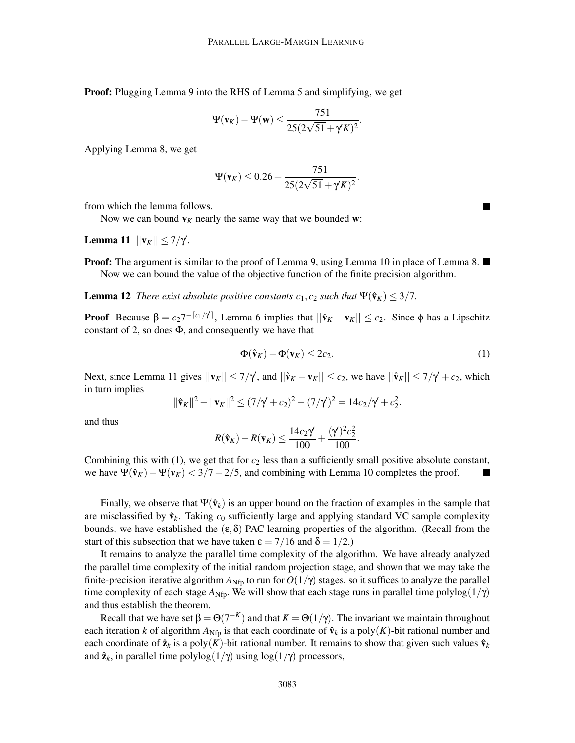Proof: Plugging Lemma 9 into the RHS of Lemma 5 and simplifying, we get

$$
\Psi(\mathbf{v}_K)-\Psi(\mathbf{w})\leq \frac{751}{25(2\sqrt{51}+\gamma K)^2}.
$$

Applying Lemma 8, we get

$$
\Psi(\mathbf{v}_K) \le 0.26 + \frac{751}{25(2\sqrt{51} + \gamma' K)^2}
$$

from which the lemma follows.

Now we can bound  $v_K$  nearly the same way that we bounded w:

**Lemma 11**  $||**v**<sub>K</sub>|| \le 7/γ$ .

**Proof:** The argument is similar to the proof of Lemma 9, using Lemma 10 in place of Lemma 8.  $\blacksquare$ Now we can bound the value of the objective function of the finite precision algorithm.

**Lemma 12** *There exist absolute positive constants*  $c_1$ ,  $c_2$  *such that*  $\Psi(\hat{\mathbf{v}}_K) \leq 3/7$ .

**Proof** Because  $\beta = c_2 7^{-\lceil c_1/\gamma \rceil}$ , Lemma 6 implies that  $||\hat{\mathbf{v}}_K - \mathbf{v}_K|| \leq c_2$ . Since  $\phi$  has a Lipschitz constant of 2, so does  $\Phi$ , and consequently we have that

$$
\Phi(\hat{\mathbf{v}}_K) - \Phi(\mathbf{v}_K) \le 2c_2. \tag{1}
$$

.

n.

Next, since Lemma 11 gives  $||\mathbf{v}_K|| \le 7/\gamma$ , and  $||\hat{\mathbf{v}}_K - \mathbf{v}_K|| \le c_2$ , we have  $||\hat{\mathbf{v}}_K|| \le 7/\gamma + c_2$ , which in turn implies

$$
\|\hat{\mathbf{v}}_K\|^2 - \|\mathbf{v}_K\|^2 \le (7/\gamma + c_2)^2 - (7/\gamma)^2 = 14c_2/\gamma + c_2^2.
$$

and thus

$$
R(\hat{\mathbf{v}}_K) - R(\mathbf{v}_K) \le \frac{14c_2\gamma}{100} + \frac{(\gamma^2)^2c_2^2}{100}.
$$

Combining this with  $(1)$ , we get that for  $c_2$  less than a sufficiently small positive absolute constant, we have  $\Psi(\hat{v}_K) - \Psi(v_K) < 3/7 - 2/5$ , and combining with Lemma 10 completes the proof. H

Finally, we observe that  $\Psi(\hat{\mathbf{v}}_k)$  is an upper bound on the fraction of examples in the sample that are misclassified by  $\hat{\mathbf{v}}_k$ . Taking  $c_0$  sufficiently large and applying standard VC sample complexity bounds, we have established the  $(\epsilon, \delta)$  PAC learning properties of the algorithm. (Recall from the start of this subsection that we have taken  $\epsilon = 7/16$  and  $\delta = 1/2$ .)

It remains to analyze the parallel time complexity of the algorithm. We have already analyzed the parallel time complexity of the initial random projection stage, and shown that we may take the finite-precision iterative algorithm  $A_{Nfp}$  to run for  $O(1/\gamma)$  stages, so it suffices to analyze the parallel time complexity of each stage  $A_{Nfp}$ . We will show that each stage runs in parallel time polylog $(1/\gamma)$ and thus establish the theorem.

Recall that we have set  $\beta = \Theta(7^{-K})$  and that  $K = \Theta(1/\gamma)$ . The invariant we maintain throughout each iteration *k* of algorithm  $A_{Nfp}$  is that each coordinate of  $\hat{v}_k$  is a poly(*K*)-bit rational number and each coordinate of  $\hat{\mathbf{z}}_k$  is a poly(*K*)-bit rational number. It remains to show that given such values  $\hat{\mathbf{v}}_k$ and  $\hat{\mathbf{z}}_k$ , in parallel time polylog( $1/\gamma$ ) using log( $1/\gamma$ ) processors,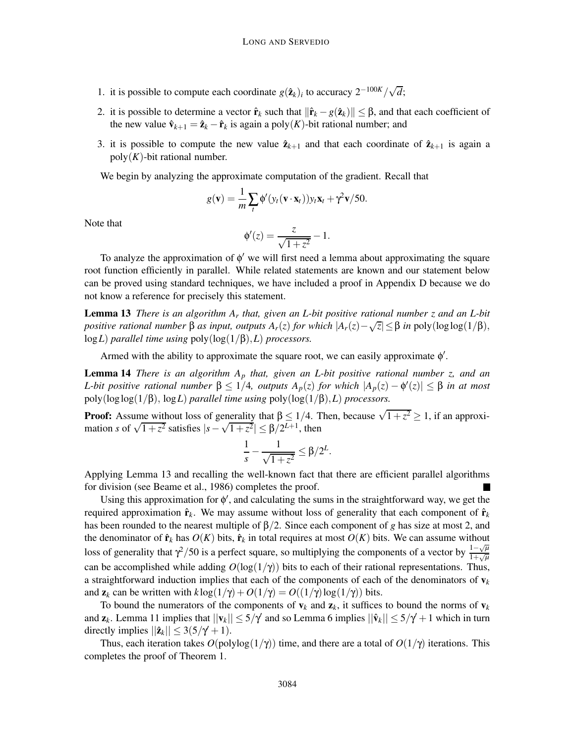- 1. it is possible to compute each coordinate  $g(\hat{\mathbf{z}}_k)_i$  to accuracy  $2^{-100K}/\sqrt{d}$ ;
- 2. it is possible to determine a vector  $\hat{\mathbf{r}}_k$  such that  $\|\hat{\mathbf{r}}_k g(\hat{\mathbf{z}}_k)\| \leq \beta$ , and that each coefficient of the new value  $\hat{\mathbf{v}}_{k+1} = \hat{\mathbf{z}}_k - \hat{\mathbf{r}}_k$  is again a poly(*K*)-bit rational number; and
- 3. it is possible to compute the new value  $\hat{\mathbf{z}}_{k+1}$  and that each coordinate of  $\hat{\mathbf{z}}_{k+1}$  is again a  $poly(K)$ -bit rational number.

We begin by analyzing the approximate computation of the gradient. Recall that

$$
g(\mathbf{v}) = \frac{1}{m} \sum_{t} \phi'(y_t(\mathbf{v} \cdot \mathbf{x}_t)) y_t \mathbf{x}_t + \gamma^2 \mathbf{v}/50.
$$

Note that

$$
\phi'(z) = \frac{z}{\sqrt{1+z^2}} - 1.
$$

To analyze the approximation of φ ′ we will first need a lemma about approximating the square root function efficiently in parallel. While related statements are known and our statement below can be proved using standard techniques, we have included a proof in Appendix D because we do not know a reference for precisely this statement.

Lemma 13 *There is an algorithm A<sup>r</sup> that, given an L-bit positive rational number z and an L-bit positive rational number*  $\beta$  *as input, outputs*  $A_r(z)$  *for which*  $|A_r(z) - \sqrt{z}| \leq \beta$  *in* poly(loglog(1/ $\beta$ ), log*L*) *parallel time using* poly(log(1/β),*L*) *processors.*

Armed with the ability to approximate the square root, we can easily approximate  $\phi'$ .

Lemma 14 *There is an algorithm A<sup>p</sup> that, given an L-bit positive rational number z, and an L*-bit positive rational number  $β ≤ 1/4$ , outputs  $A_p(z)$  for which  $|A_p(z) - φ'(z)| ≤ β$  in at most poly(loglog(1/β), log*L*) *parallel time using* poly(log(1/β),*L*) *processors.*

**Proof:** Assume without loss of generality that  $\beta \leq 1/4$ . Then, because  $\sqrt{1+z^2} \geq 1$ , if an approximation *s* of  $\sqrt{1+z^2}$  satisfies  $|s-\sqrt{1+z^2}| \le \beta/2^{L+1}$ , then

$$
\frac{1}{s}-\frac{1}{\sqrt{1+z^2}}\leq \beta/2^L.
$$

Applying Lemma 13 and recalling the well-known fact that there are efficient parallel algorithms for division (see Beame et al., 1986) completes the proof.

Using this approximation for  $\phi'$ , and calculating the sums in the straightforward way, we get the required approximation  $\hat{\mathbf{r}}_k$ . We may assume without loss of generality that each component of  $\hat{\mathbf{r}}_k$ has been rounded to the nearest multiple of β/2. Since each component of *g* has size at most 2, and the denominator of  $\hat{\mathbf{r}}_k$  has  $O(K)$  bits,  $\hat{\mathbf{r}}_k$  in total requires at most  $O(K)$  bits. We can assume without loss of generality that  $\gamma^2$ /50 is a perfect square, so multiplying the components of a vector by  $\frac{1-\sqrt{\mu}}{1+\sqrt{\mu}}$  $1+\sqrt{\mu}$ can be accomplished while adding  $O(log(1/\gamma))$  bits to each of their rational representations. Thus, a straightforward induction implies that each of the components of each of the denominators of  $v_k$ and  $z_k$  can be written with  $k \log(1/\gamma) + O(1/\gamma) = O((1/\gamma) \log(1/\gamma))$  bits.

To bound the numerators of the components of  $v_k$  and  $z_k$ , it suffices to bound the norms of  $v_k$ and  $z_k$ . Lemma 11 implies that  $||v_k|| \le 5/\gamma$  and so Lemma 6 implies  $||\hat{v}_k|| \le 5/\gamma + 1$  which in turn directly implies  $||\hat{\mathbf{z}}_k|| \leq 3(5/\gamma + 1)$ .

Thus, each iteration takes  $O(polylog(1/\gamma))$  time, and there are a total of  $O(1/\gamma)$  iterations. This completes the proof of Theorem 1.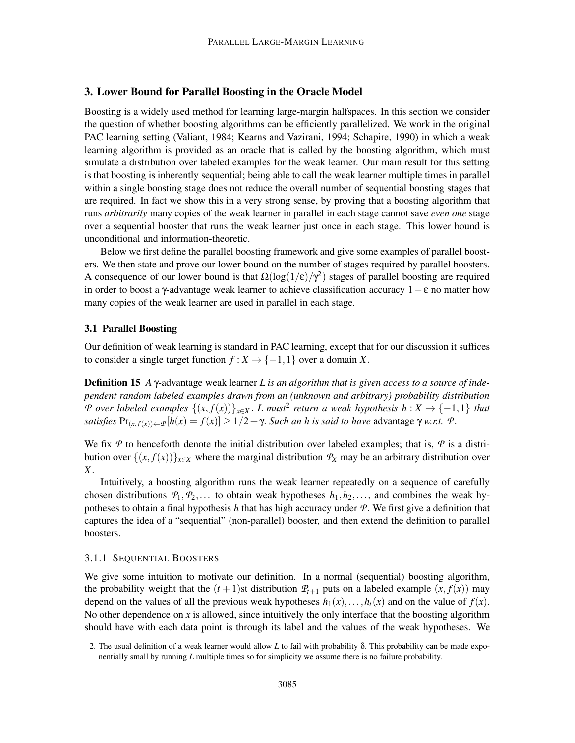## 3. Lower Bound for Parallel Boosting in the Oracle Model

Boosting is a widely used method for learning large-margin halfspaces. In this section we consider the question of whether boosting algorithms can be efficiently parallelized. We work in the original PAC learning setting (Valiant, 1984; Kearns and Vazirani, 1994; Schapire, 1990) in which a weak learning algorithm is provided as an oracle that is called by the boosting algorithm, which must simulate a distribution over labeled examples for the weak learner. Our main result for this setting is that boosting is inherently sequential; being able to call the weak learner multiple times in parallel within a single boosting stage does not reduce the overall number of sequential boosting stages that are required. In fact we show this in a very strong sense, by proving that a boosting algorithm that runs *arbitrarily* many copies of the weak learner in parallel in each stage cannot save *even one* stage over a sequential booster that runs the weak learner just once in each stage. This lower bound is unconditional and information-theoretic.

Below we first define the parallel boosting framework and give some examples of parallel boosters. We then state and prove our lower bound on the number of stages required by parallel boosters. A consequence of our lower bound is that  $\Omega(\log(1/\epsilon)/\gamma^2)$  stages of parallel boosting are required in order to boost a γ-advantage weak learner to achieve classification accuracy  $1 - \varepsilon$  no matter how many copies of the weak learner are used in parallel in each stage.

#### 3.1 Parallel Boosting

Our definition of weak learning is standard in PAC learning, except that for our discussion it suffices to consider a single target function  $f: X \to \{-1, 1\}$  over a domain X.

Definition 15 *A* γ-advantage weak learner *L is an algorithm that is given access to a source of independent random labeled examples drawn from an (unknown and arbitrary) probability distribution <sup>P</sup> over labeled examples* {(*x*, *<sup>f</sup>*(*x*))}*x*∈*<sup>X</sup>* . *L must*<sup>2</sup> *return a weak hypothesis h* : *X* → {−1,1} *that satisfies*  $Pr_{(x, f(x)) \leftarrow P}[h(x) = f(x)] \ge 1/2 + \gamma$ . *Such an h is said to have* advantage  $\gamma$  *w.r.t.*  $\mathcal{P}$ .

We fix  $P$  to henceforth denote the initial distribution over labeled examples; that is,  $P$  is a distribution over  $\{(x, f(x))\}_{x \in X}$  where the marginal distribution  $\mathcal{P}_X$  may be an arbitrary distribution over *X*.

Intuitively, a boosting algorithm runs the weak learner repeatedly on a sequence of carefully chosen distributions  $P_1, P_2, \ldots$  to obtain weak hypotheses  $h_1, h_2, \ldots$ , and combines the weak hypotheses to obtain a final hypothesis *h* that has high accuracy under *P*. We first give a definition that captures the idea of a "sequential" (non-parallel) booster, and then extend the definition to parallel boosters.

## 3.1.1 SEQUENTIAL BOOSTERS

We give some intuition to motivate our definition. In a normal (sequential) boosting algorithm, the probability weight that the  $(t + 1)$ st distribution  $P_{t+1}$  puts on a labeled example  $(x, f(x))$  may depend on the values of all the previous weak hypotheses  $h_1(x), \ldots, h_t(x)$  and on the value of  $f(x)$ . No other dependence on *x* is allowed, since intuitively the only interface that the boosting algorithm should have with each data point is through its label and the values of the weak hypotheses. We

<sup>2.</sup> The usual definition of a weak learner would allow *L* to fail with probability δ. This probability can be made exponentially small by running *L* multiple times so for simplicity we assume there is no failure probability.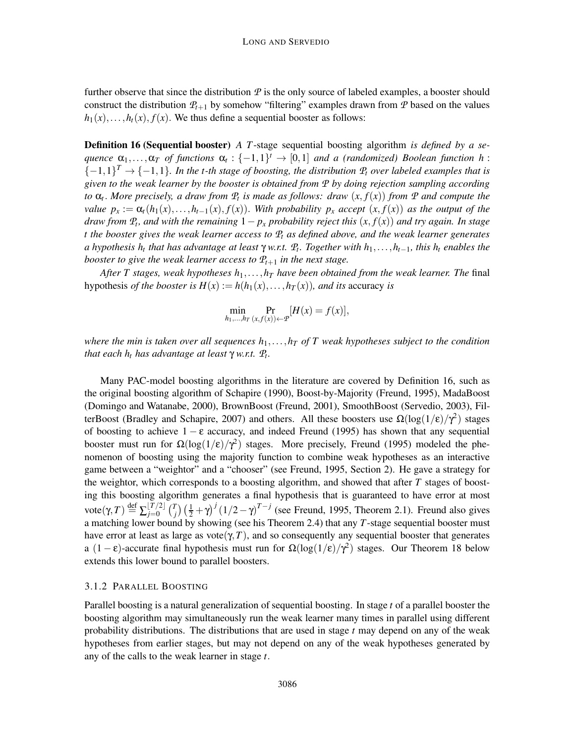further observe that since the distribution  $P$  is the only source of labeled examples, a booster should construct the distribution  $P_{t+1}$  by somehow "filtering" examples drawn from P based on the values  $h_1(x), \ldots, h_t(x), f(x)$ . We thus define a sequential booster as follows:

Definition 16 (Sequential booster) *A T*-stage sequential boosting algorithm *is defined by a sequence*  $\alpha_1, \ldots, \alpha_T$  *of functions*  $\alpha_t : \{-1,1\}^t \to [0,1]$  *and a (randomized) Boolean function h* :  $\{-1,1\}^T \rightarrow \{-1,1\}$ . In the t-th stage of boosting, the distribution  $P_t$  over labeled examples that is *given to the weak learner by the booster is obtained from P by doing rejection sampling according to* α*<sup>t</sup>* . *More precisely, a draw from P<sup>t</sup> is made as follows: draw* (*x*, *f*(*x*)) *from P and compute the value*  $p_x := \alpha_t(h_1(x), \ldots, h_{t-1}(x), f(x))$ . With probability  $p_x$  *accept*  $(x, f(x))$  *as the output of the draw from*  $P_t$ , and with the remaining  $1 - p_x$  *probability reject this*  $(x, f(x))$  *and try again. In stage t the booster gives the weak learner access to P<sup>t</sup> as defined above, and the weak learner generates a hypothesis h<sup>t</sup> that has advantage at least* <sup>γ</sup> *w.r.t. P<sup>t</sup> . Together with h*1,...,*ht*−1*, this h<sup>t</sup> enables the booster to give the weak learner access to*  $P_{t+1}$  *in the next stage.* 

*After T stages, weak hypotheses h*1,...,*h<sup>T</sup> have been obtained from the weak learner. The* final hypothesis *of the booster is*  $H(x) := h(h_1(x), \ldots, h_T(x))$ *, and its accuracy is* 

$$
\min_{h_1,\ldots,h_T} \Pr_{(x,f(x))\leftarrow \mathcal{P}}[H(x) = f(x)],
$$

*where the min is taken over all sequences*  $h_1, \ldots, h_T$  *of* T weak hypotheses subject to the condition *that each h<sup>t</sup> has advantage at least* <sup>γ</sup> *w.r.t. P<sup>t</sup> .*

Many PAC-model boosting algorithms in the literature are covered by Definition 16, such as the original boosting algorithm of Schapire (1990), Boost-by-Majority (Freund, 1995), MadaBoost (Domingo and Watanabe, 2000), BrownBoost (Freund, 2001), SmoothBoost (Servedio, 2003), FilterBoost (Bradley and Schapire, 2007) and others. All these boosters use  $\Omega(\log(1/\epsilon)/\gamma^2)$  stages of boosting to achieve  $1 - \varepsilon$  accuracy, and indeed Freund (1995) has shown that any sequential booster must run for  $\Omega(\log(1/\epsilon)/\gamma^2)$  stages. More precisely, Freund (1995) modeled the phenomenon of boosting using the majority function to combine weak hypotheses as an interactive game between a "weightor" and a "chooser" (see Freund, 1995, Section 2). He gave a strategy for the weightor, which corresponds to a boosting algorithm, and showed that after *T* stages of boosting this boosting algorithm generates a final hypothesis that is guaranteed to have error at most  $\mathrm{vote}(\gamma,T) \stackrel{\text{def}}{=} \sum_{j=0}^{\lfloor T/2 \rfloor} \binom{T}{j}$  $\int_{i}^{T}$ )  $\left(\frac{1}{2} + \gamma\right)^{j} \left(\frac{1}{2} - \gamma\right)^{T-j}$  (see Freund, 1995, Theorem 2.1). Freund also gives a matching lower bound by showing (see his Theorem 2.4) that any *T*-stage sequential booster must have error at least as large as vote( $\gamma$ , *T*), and so consequently any sequential booster that generates a  $(1 - \varepsilon)$ -accurate final hypothesis must run for  $\Omega(\log(1/\varepsilon)/\gamma^2)$  stages. Our Theorem 18 below extends this lower bound to parallel boosters.

#### 3.1.2 PARALLEL BOOSTING

Parallel boosting is a natural generalization of sequential boosting. In stage *t* of a parallel booster the boosting algorithm may simultaneously run the weak learner many times in parallel using different probability distributions. The distributions that are used in stage *t* may depend on any of the weak hypotheses from earlier stages, but may not depend on any of the weak hypotheses generated by any of the calls to the weak learner in stage *t*.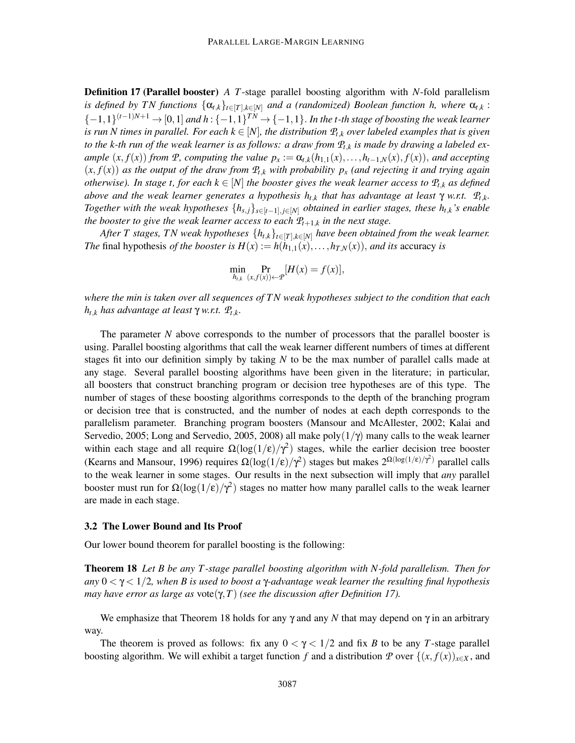Definition 17 (Parallel booster) *A T*-stage parallel boosting algorithm with *N*-fold parallelism *is defined by TN functions*  $\{\alpha_{t,k}\}_{t\in[T],k\in[N]}$  *and a (randomized) Boolean function h, where*  $\alpha_{t,k}$ :  $\{-1,1\}^{(t-1)N+1} \rightarrow [0,1]$  and  $h: \{-1,1\}^{TN} \rightarrow \{-1,1\}$ . In the t-th stage of boosting the weak learner *is run N times in parallel. For each*  $k \in [N]$ , the distribution  $P_{t,k}$  *over labeled examples that is given to the k-th run of the weak learner is as follows: a draw from*  $P_{t,k}$  *is made by drawing a labeled ex*ample  $(x, f(x))$  from P, computing the value  $p_x := \alpha_{t,k}(h_{1,1}(x), \ldots, h_{t-1,N}(x), f(x))$ , and accepting  $(x, f(x))$  *as the output of the draw from*  $P_{t,k}$  *with probability*  $p_x$  *(and rejecting it and trying again otherwise*). In stage t, for each  $k \in [N]$  the booster gives the weak learner access to  $\mathcal{P}_{t,k}$  as defined *above and the weak learner generates a hypothesis ht*,*<sup>k</sup> that has advantage at least* <sup>γ</sup> *w.r.t. P<sup>t</sup>*,*k. Together with the weak hypotheses*  $\{h_{s,j}\}_{s\in[t-1], j\in[N]}$  *obtained in earlier stages, these*  $h_{t,k}$ *'s enable the booster to give the weak learner access to each P<sup>t</sup>*+1,*<sup>k</sup> in the next stage.*

*After T stages, TN weak hypotheses*  $\{h_{t,k}\}_{t\in[T],k\in[N]}$  *have been obtained from the weak learner. The* final hypothesis *of the booster is*  $H(x) := h(h_{1,1}(x), \ldots, h_{T,N}(x))$ , *and its* accuracy *is* 

$$
\min_{h_{t,k}} \Pr_{(x,f(x))\leftarrow \mathcal{P}}[H(x) = f(x)],
$$

*where the min is taken over all sequences of TN weak hypotheses subject to the condition that each <sup>h</sup>t*,*<sup>k</sup> has advantage at least* <sup>γ</sup> *w.r.t. P<sup>t</sup>*,*k.*

The parameter *N* above corresponds to the number of processors that the parallel booster is using. Parallel boosting algorithms that call the weak learner different numbers of times at different stages fit into our definition simply by taking *N* to be the max number of parallel calls made at any stage. Several parallel boosting algorithms have been given in the literature; in particular, all boosters that construct branching program or decision tree hypotheses are of this type. The number of stages of these boosting algorithms corresponds to the depth of the branching program or decision tree that is constructed, and the number of nodes at each depth corresponds to the parallelism parameter. Branching program boosters (Mansour and McAllester, 2002; Kalai and Servedio, 2005; Long and Servedio, 2005, 2008) all make poly $(1/\gamma)$  many calls to the weak learner within each stage and all require  $\Omega(\log(1/\epsilon)/\gamma^2)$  stages, while the earlier decision tree booster (Kearns and Mansour, 1996) requires  $\Omega(\log(1/\epsilon)/\gamma^2)$  stages but makes  $2^{\Omega(\log(1/\epsilon)/\gamma^2)}$  parallel calls to the weak learner in some stages. Our results in the next subsection will imply that *any* parallel booster must run for  $\Omega(\log(1/\epsilon)/\gamma^2)$  stages no matter how many parallel calls to the weak learner are made in each stage.

#### 3.2 The Lower Bound and Its Proof

Our lower bound theorem for parallel boosting is the following:

Theorem 18 *Let B be any T -stage parallel boosting algorithm with N-fold parallelism. Then for any* 0 < γ < 1/2*, when B is used to boost a* γ*-advantage weak learner the resulting final hypothesis may have error as large as* vote(γ,*T*) *(see the discussion after Definition 17).*

We emphasize that Theorem 18 holds for any  $\gamma$  and any *N* that may depend on  $\gamma$  in an arbitrary way.

The theorem is proved as follows: fix any  $0 < \gamma < 1/2$  and fix *B* to be any *T*-stage parallel boosting algorithm. We will exhibit a target function *f* and a distribution *P* over  $\{(x, f(x))_{x \in X},$  and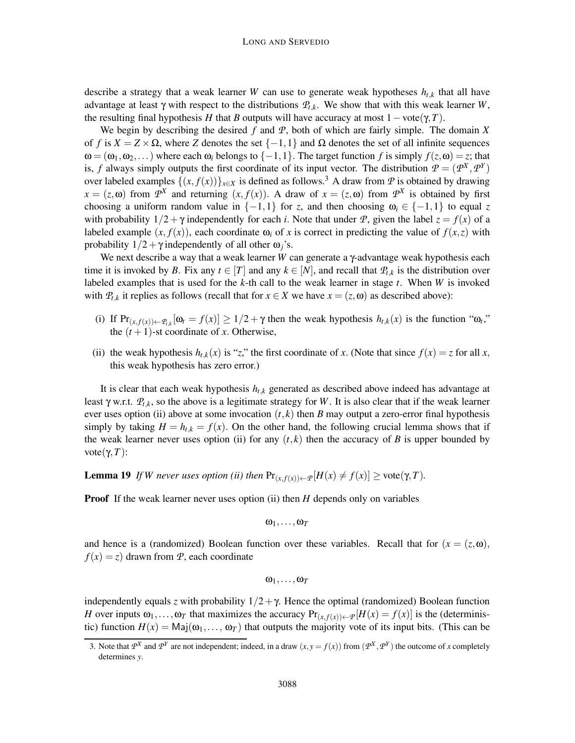describe a strategy that a weak learner *W* can use to generate weak hypotheses  $h_{t,k}$  that all have advantage at least γ with respect to the distributions  $P_t$ <sub>*k*</sub>. We show that with this weak learner *W*, the resulting final hypothesis *H* that *B* outputs will have accuracy at most  $1 - \text{vote}(\gamma, T)$ .

We begin by describing the desired *f* and *P*, both of which are fairly simple. The domain *X* of *f* is  $X = Z \times \Omega$ , where *Z* denotes the set  $\{-1,1\}$  and  $\Omega$  denotes the set of all infinite sequences  $\omega = (\omega_1, \omega_2, \dots)$  where each  $\omega_i$  belongs to  $\{-1, 1\}$ . The target function *f* is simply  $f(z, \omega) = z$ ; that is, *f* always simply outputs the first coordinate of its input vector. The distribution  $P = (P^X, P^Y)$ over labeled examples  $\{(x, f(x))\}_{x \in X}$  is defined as follows.<sup>3</sup> A draw from *P* is obtained by drawing  $x = (z, \omega)$  from  $\mathcal{P}^X$  and returning  $(x, f(x))$ . A draw of  $x = (z, \omega)$  from  $\mathcal{P}^X$  is obtained by first choosing a uniform random value in  $\{-1,1\}$  for *z*, and then choosing  $\omega_i \in \{-1,1\}$  to equal *z* with probability  $1/2 + \gamma$  independently for each *i*. Note that under *P*, given the label  $z = f(x)$  of a labeled example  $(x, f(x))$ , each coordinate  $\omega_i$  of *x* is correct in predicting the value of  $f(x, z)$  with probability  $1/2 + \gamma$  independently of all other  $\omega_i$ 's.

We next describe a way that a weak learner *W* can generate a γ-advantage weak hypothesis each time it is invoked by *B*. Fix any  $t \in [T]$  and any  $k \in [N]$ , and recall that  $\mathcal{P}_{t,k}$  is the distribution over labeled examples that is used for the *k*-th call to the weak learner in stage *t*. When *W* is invoked with  $P_{t,k}$  it replies as follows (recall that for  $x \in X$  we have  $x = (z, \omega)$  as described above):

- (i) If  $Pr_{(x,f(x)) \leftarrow P_{t,k}}[\omega_t = f(x)] \ge 1/2 + \gamma$  then the weak hypothesis  $h_{t,k}(x)$  is the function " $\omega_t$ "," the  $(t+1)$ -st coordinate of *x*. Otherwise,
- (ii) the weak hypothesis  $h_t$ <sub>*k*</sub>(*x*) is "*z*," the first coordinate of *x*. (Note that since  $f(x) = z$  for all *x*, this weak hypothesis has zero error.)

It is clear that each weak hypothesis *ht*,*<sup>k</sup>* generated as described above indeed has advantage at least <sup>γ</sup> w.r.t. *P<sup>t</sup>*,*k*, so the above is a legitimate strategy for *<sup>W</sup>*. It is also clear that if the weak learner ever uses option (ii) above at some invocation  $(t, k)$  then *B* may output a zero-error final hypothesis simply by taking  $H = h_{t,k} = f(x)$ . On the other hand, the following crucial lemma shows that if the weak learner never uses option (ii) for any  $(t, k)$  then the accuracy of *B* is upper bounded by vote( $γ, T$ ):

**Lemma 19** *If W never uses option (ii) then*  $Pr_{(x,f(x))\leftarrow P}[H(x) \neq f(x)] \geq \text{vote}(\gamma,T)$ *.* 

**Proof** If the weak learner never uses option (ii) then *H* depends only on variables

$$
\omega_1,\ldots,\omega_{\mathcal{T}}
$$

and hence is a (randomized) Boolean function over these variables. Recall that for  $(x = (z, \omega)$ ,  $f(x) = z$  drawn from *P*, each coordinate

$$
\omega_1,\ldots,\omega_{\mathcal{T}}
$$

independently equals *z* with probability  $1/2 + \gamma$ . Hence the optimal (randomized) Boolean function *H* over inputs  $\omega_1, \ldots, \omega_T$  that maximizes the accuracy  $Pr_{(x,f(x)) \leftarrow P}[H(x) = f(x)]$  is the (deterministic) function  $H(x) = \text{Maj}(\omega_1, \ldots, \omega_T)$  that outputs the majority vote of its input bits. (This can be

<sup>3.</sup> Note that  $P^X$  and  $P^Y$  are not independent; indeed, in a draw  $(x, y = f(x))$  from  $(P^X, P^Y)$  the outcome of *x* completely determines *y*.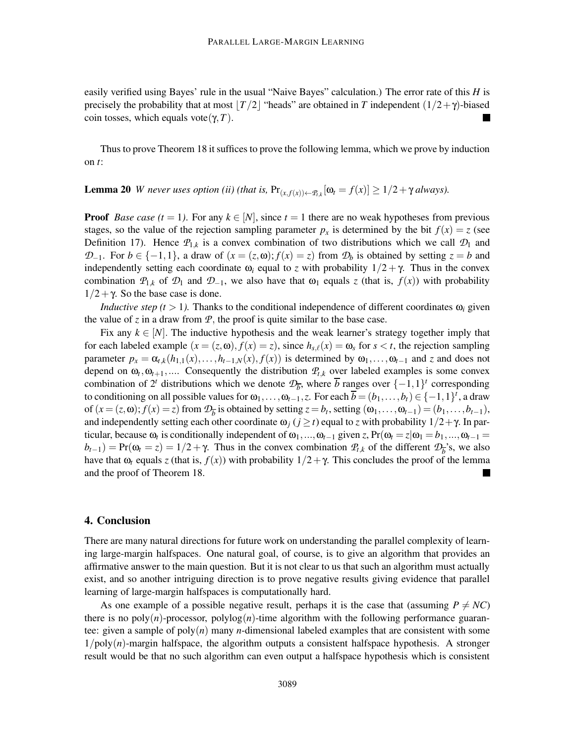easily verified using Bayes' rule in the usual "Naive Bayes" calculation.) The error rate of this *H* is precisely the probability that at most  $|T/2|$  "heads" are obtained in *T* independent  $(1/2+\gamma)$ -biased coin tosses, which equals vote(γ, *T*). m

Thus to prove Theorem 18 it suffices to prove the following lemma, which we prove by induction on *t*:

**Lemma 20** *W never uses option (ii) (that is,*  $Pr_{(x,f(x))\leftarrow P_{t,k}}[\omega_t = f(x)] \geq 1/2 + \gamma$  always).

**Proof** *Base case (t* = 1). For any  $k \in [N]$ , since  $t = 1$  there are no weak hypotheses from previous stages, so the value of the rejection sampling parameter  $p_x$  is determined by the bit  $f(x) = z$  (see Definition 17). Hence  $P_{1,k}$  is a convex combination of two distributions which we call  $\mathcal{D}_1$  and *D*−1. For *b* ∈ {−1,1}, a draw of  $(x = (z, \omega); f(x) = z)$  from  $\mathcal{D}_b$  is obtained by setting  $z = b$  and independently setting each coordinate  $\omega_i$  equal to *z* with probability  $1/2 + \gamma$ . Thus in the convex combination  $\mathcal{P}_{1,k}$  of  $\mathcal{D}_1$  and  $\mathcal{D}_{-1}$ , we also have that  $\omega_1$  equals *z* (that is,  $f(x)$ ) with probability  $1/2 + \gamma$ . So the base case is done.

*Inductive step (t > 1).* Thanks to the conditional independence of different coordinates  $\omega_i$  given the value of  $\zeta$  in a draw from  $\mathcal{P}$ , the proof is quite similar to the base case.

Fix any  $k \in [N]$ . The inductive hypothesis and the weak learner's strategy together imply that for each labeled example  $(x = (z, \omega), f(x) = z)$ , since  $h_{s,\ell}(x) = \omega_s$  for  $s < t$ , the rejection sampling parameter  $p_x = \alpha_{t,k}(h_{1,1}(x),\ldots,h_{t-1,N}(x),f(x))$  is determined by  $\omega_1,\ldots,\omega_{t-1}$  and *z* and does not depend on  $\omega_t$ ,  $\omega_{t+1}$ ,.... Consequently the distribution  $P_{t,k}$  over labeled examples is some convex combination of  $2^t$  distributions which we denote  $\mathcal{D}_{\overline{b}}$ , where  $\overline{b}$  ranges over  $\{-1,1\}^t$  corresponding to conditioning on all possible values for  $\omega_1, \ldots, \omega_{t-1}, z$ . For each  $\overline{b} = (b_1, \ldots, b_t) \in \{-1, 1\}^t$ , a draw of  $(x = (z, \omega); f(x) = z)$  from  $\mathcal{D}_b$  is obtained by setting  $z = b_t$ , setting  $(\omega_1, \ldots, \omega_{t-1}) = (b_1, \ldots, b_{t-1}),$ and independently setting each other coordinate  $\omega_j$  ( $j \ge t$ ) equal to *z* with probability  $1/2 + \gamma$ . In particular, because  $\omega_t$  is conditionally independent of  $\omega_1, ..., \omega_{t-1}$  given *z*, Pr( $\omega_t = z | \omega_1 = b_1, ..., \omega_{t-1} =$  $b_{t-1}$ ) = Pr( $\omega_t = z$ ) = 1/2 +  $\gamma$ . Thus in the convex combination  $P_{t,k}$  of the different  $\mathcal{D}_b$ 's, we also have that  $\omega_t$  equals *z* (that is,  $f(x)$ ) with probability  $1/2 + \gamma$ . This concludes the proof of the lemma and the proof of Theorem 18.

## 4. Conclusion

There are many natural directions for future work on understanding the parallel complexity of learning large-margin halfspaces. One natural goal, of course, is to give an algorithm that provides an affirmative answer to the main question. But it is not clear to us that such an algorithm must actually exist, and so another intriguing direction is to prove negative results giving evidence that parallel learning of large-margin halfspaces is computationally hard.

As one example of a possible negative result, perhaps it is the case that (assuming  $P \neq NC$ ) there is no poly(*n*)-processor, polylog(*n*)-time algorithm with the following performance guarantee: given a sample of poly(*n*) many *n*-dimensional labeled examples that are consistent with some  $1/poly(n)$ -margin halfspace, the algorithm outputs a consistent halfspace hypothesis. A stronger result would be that no such algorithm can even output a halfspace hypothesis which is consistent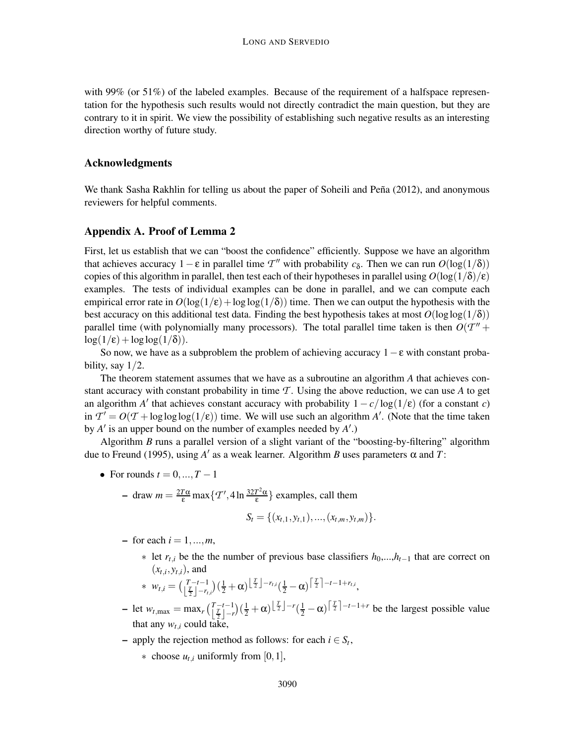with 99% (or 51%) of the labeled examples. Because of the requirement of a halfspace representation for the hypothesis such results would not directly contradict the main question, but they are contrary to it in spirit. We view the possibility of establishing such negative results as an interesting direction worthy of future study.

#### Acknowledgments

We thank Sasha Rakhlin for telling us about the paper of Soheili and Peña (2012), and anonymous reviewers for helpful comments.

## Appendix A. Proof of Lemma 2

First, let us establish that we can "boost the confidence" efficiently. Suppose we have an algorithm that achieves accuracy  $1 - \varepsilon$  in parallel time  $T''$  with probability  $c_{\delta}$ . Then we can run  $O(\log(1/\delta))$ copies of this algorithm in parallel, then test each of their hypotheses in parallel using  $O(\log(1/\delta)/\epsilon)$ examples. The tests of individual examples can be done in parallel, and we can compute each empirical error rate in  $O(\log(1/\epsilon) + \log \log(1/\delta))$  time. Then we can output the hypothesis with the best accuracy on this additional test data. Finding the best hypothesis takes at most  $O(\log \log(1/\delta))$ parallel time (with polynomially many processors). The total parallel time taken is then  $O(T'' +$  $log(1/\epsilon) + loglog(1/\delta)).$ 

So now, we have as a subproblem the problem of achieving accuracy  $1-\epsilon$  with constant probability, say  $1/2$ .

The theorem statement assumes that we have as a subroutine an algorithm *A* that achieves constant accuracy with constant probability in time  $\mathcal T$ . Using the above reduction, we can use A to get an algorithm *A'* that achieves constant accuracy with probability  $1 - c/\log(1/\epsilon)$  (for a constant *c*) in  $T' = O(T + \log \log \log(1/\epsilon))$  time. We will use such an algorithm *A'*. (Note that the time taken by *A* ′ is an upper bound on the number of examples needed by *A* ′ .)

Algorithm *B* runs a parallel version of a slight variant of the "boosting-by-filtering" algorithm due to Freund (1995), using *A* ′ as a weak learner. Algorithm *B* uses parameters α and *T*:

- For rounds  $t = 0, ..., T 1$ 
	- $-$  draw  $m = \frac{2T\alpha}{\epsilon} \max\left\{T', 4\ln\frac{32T^2\alpha}{\epsilon}\right\}$  $\left\{ \frac{l^2 \alpha}{\epsilon} \right\}$  examples, call them  $S_t = \{(x_{t,1}, y_{t,1}), ..., (x_{t,m}, y_{t,m})\}.$
	- $-$  for each  $i = 1, ..., m$ ,
		- ∗ let *rt*,*<sup>i</sup>* be the the number of previous base classifiers *h*0,...,*ht*−<sup>1</sup> that are correct on  $(x_{t,i}, y_{t,i})$ , and

$$
* w_{t,i} = \left(\frac{T-t-1}{\frac{T}{2}}\right)\left(\frac{1}{2}+\alpha\right)\left(\frac{T}{2}\right)^{-r_{t,i}}\left(\frac{1}{2}-\alpha\right)^{\left\lceil\frac{T}{2}\right\rceil-t-1+r_{t,i}},
$$

- $-$  let  $w_{t, \max} = \max_{r} \left( \frac{T t 1}{|T| r} \right)$  $\left[\frac{T}{2}-r\right]\left(\frac{1}{2}+\alpha\right)\left[\frac{T}{2}\right]-r\left(\frac{1}{2}-\alpha\right)\left[\frac{T}{2}\right]-r-1+r$  be the largest possible value that any  $w_{t,i}$  could take,
- $\blacksquare$  apply the rejection method as follows: for each *i* ∈ *S*<sup>*t*</sup>,
	- $\ast$  choose  $u_t$ , uniformly from [0, 1],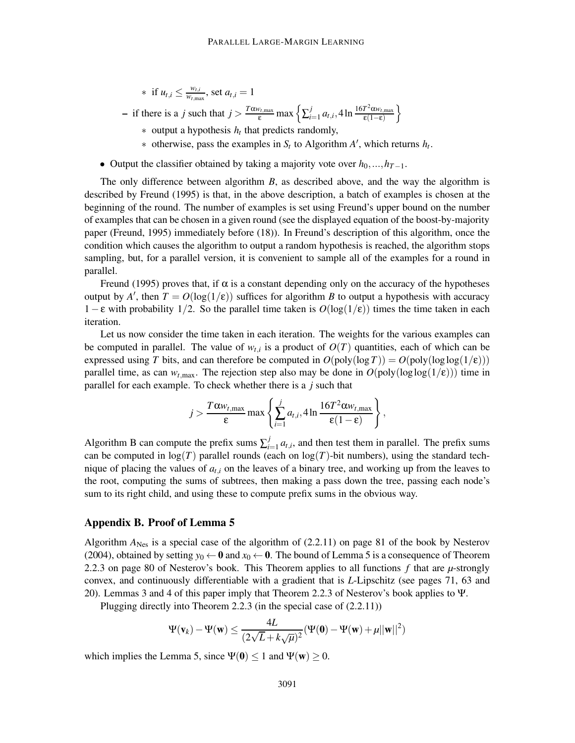∗ if *ut*,*<sup>i</sup>* ≤ *wt*,*<sup>i</sup>*  $\frac{w_{t,i}}{w_{t,\max}}$ , set  $a_{t,i} = 1$ 

 $-$  if there is a *j* such that  $j > \frac{T\alpha w_{t, \max}}{\varepsilon} \max \left\{ \sum_{i}^{j}$  $\int_{i=1}^{j} a_{t,i}$ , 4 ln  $\frac{16T^2 \alpha w_{t,\text{max}}}{\epsilon(1-\epsilon)}$ ε(1−ε) o

- ∗ output a hypothesis *h<sup>t</sup>* that predicts randomly,
- $*$  otherwise, pass the examples in  $S_t$  to Algorithm  $A'$ , which returns  $h_t$ .
- Output the classifier obtained by taking a majority vote over  $h_0, ..., h_{T-1}$ .

The only difference between algorithm *B*, as described above, and the way the algorithm is described by Freund (1995) is that, in the above description, a batch of examples is chosen at the beginning of the round. The number of examples is set using Freund's upper bound on the number of examples that can be chosen in a given round (see the displayed equation of the boost-by-majority paper (Freund, 1995) immediately before (18)). In Freund's description of this algorithm, once the condition which causes the algorithm to output a random hypothesis is reached, the algorithm stops sampling, but, for a parallel version, it is convenient to sample all of the examples for a round in parallel.

Freund (1995) proves that, if  $\alpha$  is a constant depending only on the accuracy of the hypotheses output by *A*<sup> $\prime$ </sup>, then  $T = O(\log(1/\epsilon))$  suffices for algorithm *B* to output a hypothesis with accuracy 1− ε with probability 1/2. So the parallel time taken is *O*(log(1/ε)) times the time taken in each iteration.

Let us now consider the time taken in each iteration. The weights for the various examples can be computed in parallel. The value of  $w_{t,i}$  is a product of  $O(T)$  quantities, each of which can be expressed using *T* bits, and can therefore be computed in  $O(poly(log T)) = O(poly(log log(1/\epsilon)))$ parallel time, as can  $w_{t, \text{max}}$ . The rejection step also may be done in  $O(poly(\log \log(1/\epsilon)))$  time in parallel for each example. To check whether there is a *j* such that

$$
j > \frac{T\alpha w_{t,\max}}{\varepsilon} \max \left\{ \sum_{i=1}^j a_{t,i}, 4 \ln \frac{16T^2 \alpha w_{t,\max}}{\varepsilon (1-\varepsilon)} \right\},\,
$$

Algorithm B can compute the prefix sums  $\sum_{i=1}^{j}$  $\int_{i=1}^{J} a_{t,i}$ , and then test them in parallel. The prefix sums can be computed in  $log(T)$  parallel rounds (each on  $log(T)$ -bit numbers), using the standard technique of placing the values of  $a_{t,i}$  on the leaves of a binary tree, and working up from the leaves to the root, computing the sums of subtrees, then making a pass down the tree, passing each node's sum to its right child, and using these to compute prefix sums in the obvious way.

### Appendix B. Proof of Lemma 5

Algorithm  $A_{\text{Nes}}$  is a special case of the algorithm of (2.2.11) on page 81 of the book by Nesterov (2004), obtained by setting  $y_0 \leftarrow \mathbf{0}$  and  $x_0 \leftarrow \mathbf{0}$ . The bound of Lemma 5 is a consequence of Theorem 2.2.3 on page 80 of Nesterov's book. This Theorem applies to all functions *f* that are *µ*-strongly convex, and continuously differentiable with a gradient that is *L*-Lipschitz (see pages 71, 63 and 20). Lemmas 3 and 4 of this paper imply that Theorem 2.2.3 of Nesterov's book applies to Ψ.

Plugging directly into Theorem 2.2.3 (in the special case of (2.2.11))

$$
\Psi(\mathbf{v}_k) - \Psi(\mathbf{w}) \le \frac{4L}{(2\sqrt{L} + k\sqrt{\mu})^2} (\Psi(\mathbf{0}) - \Psi(\mathbf{w}) + \mu ||\mathbf{w}||^2)
$$

which implies the Lemma 5, since  $\Psi(0) < 1$  and  $\Psi(w) > 0$ .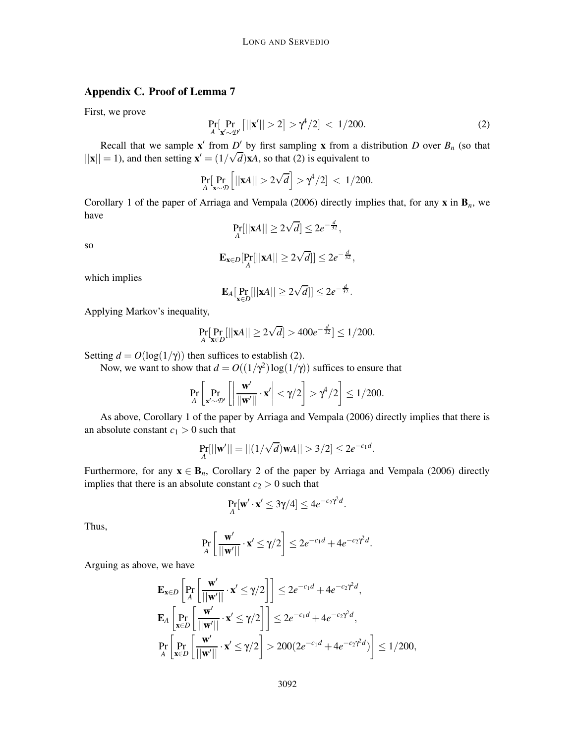## Appendix C. Proof of Lemma 7

First, we prove

$$
\Pr_{A}[\Pr_{\mathbf{x}' \sim \mathcal{D}'}[||\mathbf{x}'|| > 2] > \gamma^4/2] < 1/200.
$$
 (2)

Recall that we sample  $\mathbf{x}'$  from *D'* by first sampling **x** from a distribution *D* over  $B_n$  (so that  $||\mathbf{x}|| = 1$ ), and then setting  $\mathbf{x}' = (1/\sqrt{d})\mathbf{x}A$ , so that (2) is equivalent to

$$
\Pr_{A}[\Pr_{\mathbf{x}\sim\mathcal{D}}\left[||\mathbf{x}A|| > 2\sqrt{d}\right] > \gamma^4/2] < 1/200.
$$

Corollary 1 of the paper of Arriaga and Vempala (2006) directly implies that, for any  $x$  in  $B_n$ , we have

$$
\Pr_A[||\mathbf{x}A|| \geq 2\sqrt{d}] \leq 2e^{-\frac{d}{32}},
$$

so

$$
\mathbf{E}_{\mathbf{x}\in D}[\Pr_A[||\mathbf{x}A|| \geq 2\sqrt{d}]] \leq 2e^{-\frac{d}{32}},
$$

which implies

$$
\mathbf{E}_A[\Pr_{\mathbf{x}\in D}[||\mathbf{x}A||\geq 2\sqrt{d}]]\leq 2e^{-\frac{d}{32}}.
$$

Applying Markov's inequality,

$$
\Pr_{A}[\Pr_{\mathbf{x}\in D}[||\mathbf{x}A|| \ge 2\sqrt{d}] > 400e^{-\frac{d}{32}}] \le 1/200.
$$

Setting  $d = O(\log(1/\gamma))$  then suffices to establish (2).

Now, we want to show that  $d = O((1/\gamma^2) \log(1/\gamma))$  suffices to ensure that

$$
\Pr_{A}\left[\Pr_{\mathbf{x}'\sim\mathcal{D}'}\left[\left|\frac{\mathbf{w}'}{\|\mathbf{w}'\|}\cdot\mathbf{x}'\right|<\gamma/2\right] > \gamma^4/2\right] \le 1/200.
$$

As above, Corollary 1 of the paper by Arriaga and Vempala (2006) directly implies that there is an absolute constant  $c_1 > 0$  such that

$$
\Pr_{A}[||\mathbf{w}'|| = ||(1/\sqrt{d})\mathbf{w}A|| > 3/2] \leq 2e^{-c_1d}.
$$

Furthermore, for any  $x \in B_n$ , Corollary 2 of the paper by Arriaga and Vempala (2006) directly implies that there is an absolute constant  $c_2 > 0$  such that

$$
\Pr_{A}[\mathbf{w}'\cdot\mathbf{x}'\leq 3\gamma/4]\leq 4e^{-c_2\gamma^2d}.
$$

Thus,

$$
\Pr_{A}\left[\frac{\mathbf{w}'}{||\mathbf{w}'||}\cdot\mathbf{x}'\leq\gamma/2\right]\leq 2e^{-c_1d}+4e^{-c_2\gamma^2d}.
$$

Arguing as above, we have

$$
\mathbf{E}_{\mathbf{x}\in D}\left[\Pr_{A}\left[\frac{\mathbf{w}'}{||\mathbf{w}'||}\cdot\mathbf{x}'\leq\gamma/2\right]\right]\leq 2e^{-c_1d}+4e^{-c_2\gamma^2d},
$$
\n
$$
\mathbf{E}_{A}\left[\Pr_{\mathbf{x}\in D}\left[\frac{\mathbf{w}'}{||\mathbf{w}'||}\cdot\mathbf{x}'\leq\gamma/2\right]\right]\leq 2e^{-c_1d}+4e^{-c_2\gamma^2d},
$$
\n
$$
\Pr_{A}\left[\Pr_{\mathbf{x}\in D}\left[\frac{\mathbf{w}'}{||\mathbf{w}'||}\cdot\mathbf{x}'\leq\gamma/2\right]>200(2e^{-c_1d}+4e^{-c_2\gamma^2d})\right]\leq 1/200,
$$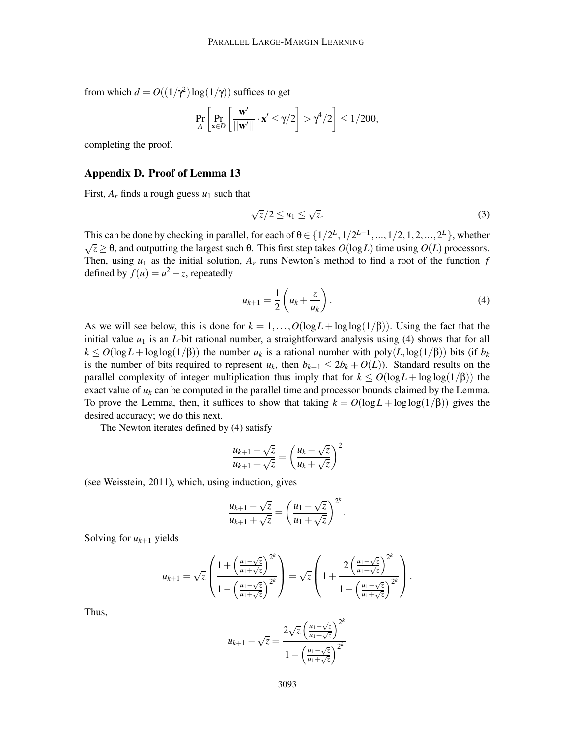from which  $d = O((1/\gamma^2) \log(1/\gamma))$  suffices to get

$$
\Pr_{A}\left[\Pr_{\mathbf{x}\in D}\left[\frac{\mathbf{w}'}{||\mathbf{w}'||}\cdot \mathbf{x}'\leq \gamma/2\right] > \gamma^4/2\right] \leq 1/200,
$$

completing the proof.

#### Appendix D. Proof of Lemma 13

First,  $A_r$  finds a rough guess  $u_1$  such that

$$
\sqrt{z}/2 \le u_1 \le \sqrt{z}.\tag{3}
$$

This can be done by checking in parallel, for each of  $\theta \in \{1/2^L, 1/2^{L-1}, ..., 1/2, 1, 2, ..., 2^L\}$ , whether  $\sqrt{z} \geq \theta$ , and outputting the largest such θ. This first step takes  $O(log L)$  time using  $O(L)$  processors. Then, using  $u_1$  as the initial solution,  $A_r$  runs Newton's method to find a root of the function  $f$ defined by  $f(u) = u^2 - z$ , repeatedly

$$
u_{k+1} = \frac{1}{2} \left( u_k + \frac{z}{u_k} \right). \tag{4}
$$

As we will see below, this is done for  $k = 1, ..., O(\log L + \log \log(1/\beta))$ . Using the fact that the initial value  $u_1$  is an *L*-bit rational number, a straightforward analysis using (4) shows that for all  $k \leq O(\log L + \log \log(1/\beta))$  the number  $u_k$  is a rational number with poly $(L, \log(1/\beta))$  bits (if  $b_k$ ) is the number of bits required to represent  $u_k$ , then  $b_{k+1} \leq 2b_k + O(L)$ ). Standard results on the parallel complexity of integer multiplication thus imply that for  $k \le O(\log L + \log \log(1/\beta))$  the exact value of  $u_k$  can be computed in the parallel time and processor bounds claimed by the Lemma. To prove the Lemma, then, it suffices to show that taking  $k = O(\log L + \log \log(1/\beta))$  gives the desired accuracy; we do this next.

The Newton iterates defined by (4) satisfy

$$
\frac{u_{k+1} - \sqrt{z}}{u_{k+1} + \sqrt{z}} = \left(\frac{u_k - \sqrt{z}}{u_k + \sqrt{z}}\right)^2
$$

(see Weisstein, 2011), which, using induction, gives

$$
\frac{u_{k+1}-\sqrt{z}}{u_{k+1}+\sqrt{z}}=\left(\frac{u_1-\sqrt{z}}{u_1+\sqrt{z}}\right)^{2^k}.
$$

Solving for  $u_{k+1}$  yields

$$
u_{k+1} = \sqrt{z} \left( \frac{1 + \left(\frac{u_1 - \sqrt{z}}{u_1 + \sqrt{z}}\right)^{2^k}}{1 - \left(\frac{u_1 - \sqrt{z}}{u_1 + \sqrt{z}}\right)^{2^k}} \right) = \sqrt{z} \left( 1 + \frac{2\left(\frac{u_1 - \sqrt{z}}{u_1 + \sqrt{z}}\right)^{2^k}}{1 - \left(\frac{u_1 - \sqrt{z}}{u_1 + \sqrt{z}}\right)^{2^k}} \right).
$$

Thus,

$$
u_{k+1} - \sqrt{z} = \frac{2\sqrt{z} \left(\frac{u_1 - \sqrt{z}}{u_1 + \sqrt{z}}\right)^{2k}}{1 - \left(\frac{u_1 - \sqrt{z}}{u_1 + \sqrt{z}}\right)^{2k}}
$$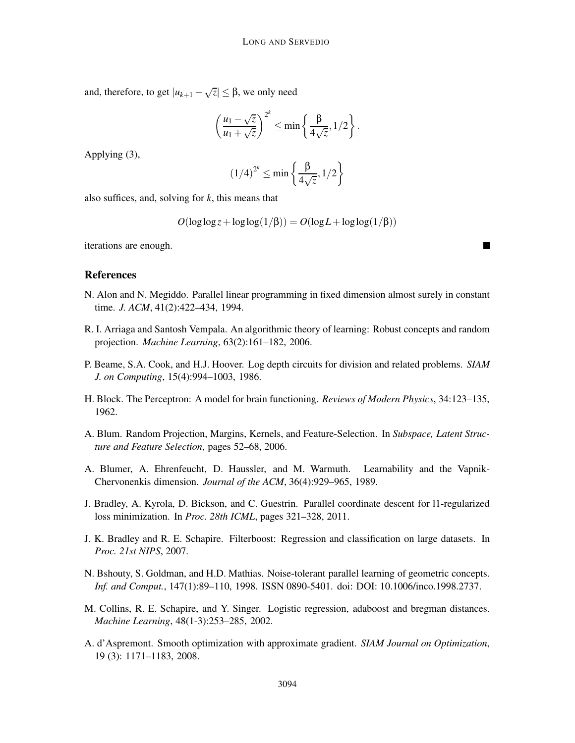and, therefore, to get  $|u_{k+1} - \sqrt{z}| \leq \beta$ , we only need

$$
\left(\frac{u_1-\sqrt{z}}{u_1+\sqrt{z}}\right)^{2^k} \leq \min\left\{\frac{\beta}{4\sqrt{z}},1/2\right\}.
$$

Applying (3),

$$
(1/4)^{2^k} \le \min\left\{\frac{\beta}{4\sqrt{z}}, 1/2\right\}
$$

also suffices, and, solving for *k*, this means that

$$
O(\log \log z + \log \log(1/\beta)) = O(\log L + \log \log(1/\beta))
$$

iterations are enough.

## References

- N. Alon and N. Megiddo. Parallel linear programming in fixed dimension almost surely in constant time. *J. ACM*, 41(2):422–434, 1994.
- R. I. Arriaga and Santosh Vempala. An algorithmic theory of learning: Robust concepts and random projection. *Machine Learning*, 63(2):161–182, 2006.
- P. Beame, S.A. Cook, and H.J. Hoover. Log depth circuits for division and related problems. *SIAM J. on Computing*, 15(4):994–1003, 1986.
- H. Block. The Perceptron: A model for brain functioning. *Reviews of Modern Physics*, 34:123–135, 1962.
- A. Blum. Random Projection, Margins, Kernels, and Feature-Selection. In *Subspace, Latent Structure and Feature Selection*, pages 52–68, 2006.
- A. Blumer, A. Ehrenfeucht, D. Haussler, and M. Warmuth. Learnability and the Vapnik-Chervonenkis dimension. *Journal of the ACM*, 36(4):929–965, 1989.
- J. Bradley, A. Kyrola, D. Bickson, and C. Guestrin. Parallel coordinate descent for l1-regularized loss minimization. In *Proc. 28th ICML*, pages 321–328, 2011.
- J. K. Bradley and R. E. Schapire. Filterboost: Regression and classification on large datasets. In *Proc. 21st NIPS*, 2007.
- N. Bshouty, S. Goldman, and H.D. Mathias. Noise-tolerant parallel learning of geometric concepts. *Inf. and Comput.*, 147(1):89–110, 1998. ISSN 0890-5401. doi: DOI: 10.1006/inco.1998.2737.
- M. Collins, R. E. Schapire, and Y. Singer. Logistic regression, adaboost and bregman distances. *Machine Learning*, 48(1-3):253–285, 2002.
- A. d'Aspremont. Smooth optimization with approximate gradient. *SIAM Journal on Optimization*, 19 (3): 1171–1183, 2008.

П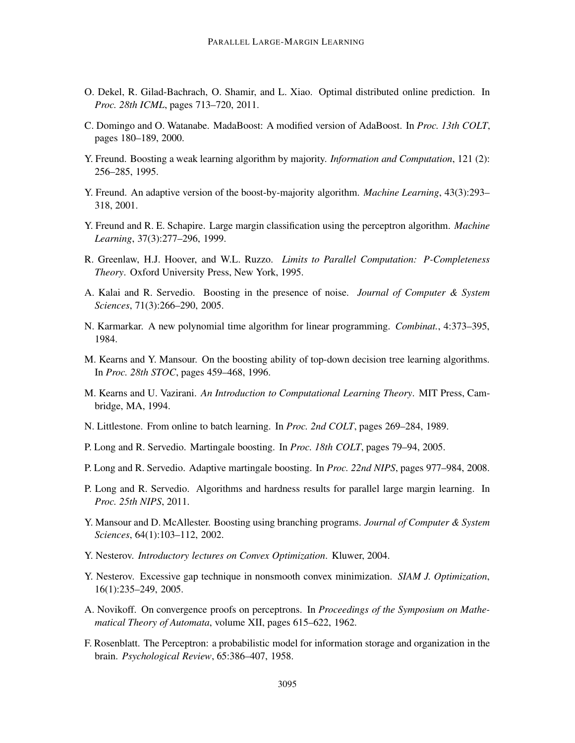- O. Dekel, R. Gilad-Bachrach, O. Shamir, and L. Xiao. Optimal distributed online prediction. In *Proc. 28th ICML*, pages 713–720, 2011.
- C. Domingo and O. Watanabe. MadaBoost: A modified version of AdaBoost. In *Proc. 13th COLT*, pages 180–189, 2000.
- Y. Freund. Boosting a weak learning algorithm by majority. *Information and Computation*, 121 (2): 256–285, 1995.
- Y. Freund. An adaptive version of the boost-by-majority algorithm. *Machine Learning*, 43(3):293– 318, 2001.
- Y. Freund and R. E. Schapire. Large margin classification using the perceptron algorithm. *Machine Learning*, 37(3):277–296, 1999.
- R. Greenlaw, H.J. Hoover, and W.L. Ruzzo. *Limits to Parallel Computation: P-Completeness Theory*. Oxford University Press, New York, 1995.
- A. Kalai and R. Servedio. Boosting in the presence of noise. *Journal of Computer & System Sciences*, 71(3):266–290, 2005.
- N. Karmarkar. A new polynomial time algorithm for linear programming. *Combinat.*, 4:373–395, 1984.
- M. Kearns and Y. Mansour. On the boosting ability of top-down decision tree learning algorithms. In *Proc. 28th STOC*, pages 459–468, 1996.
- M. Kearns and U. Vazirani. *An Introduction to Computational Learning Theory*. MIT Press, Cambridge, MA, 1994.
- N. Littlestone. From online to batch learning. In *Proc. 2nd COLT*, pages 269–284, 1989.
- P. Long and R. Servedio. Martingale boosting. In *Proc. 18th COLT*, pages 79–94, 2005.
- P. Long and R. Servedio. Adaptive martingale boosting. In *Proc. 22nd NIPS*, pages 977–984, 2008.
- P. Long and R. Servedio. Algorithms and hardness results for parallel large margin learning. In *Proc. 25th NIPS*, 2011.
- Y. Mansour and D. McAllester. Boosting using branching programs. *Journal of Computer & System Sciences*, 64(1):103–112, 2002.
- Y. Nesterov. *Introductory lectures on Convex Optimization*. Kluwer, 2004.
- Y. Nesterov. Excessive gap technique in nonsmooth convex minimization. *SIAM J. Optimization*, 16(1):235–249, 2005.
- A. Novikoff. On convergence proofs on perceptrons. In *Proceedings of the Symposium on Mathematical Theory of Automata*, volume XII, pages 615–622, 1962.
- F. Rosenblatt. The Perceptron: a probabilistic model for information storage and organization in the brain. *Psychological Review*, 65:386–407, 1958.